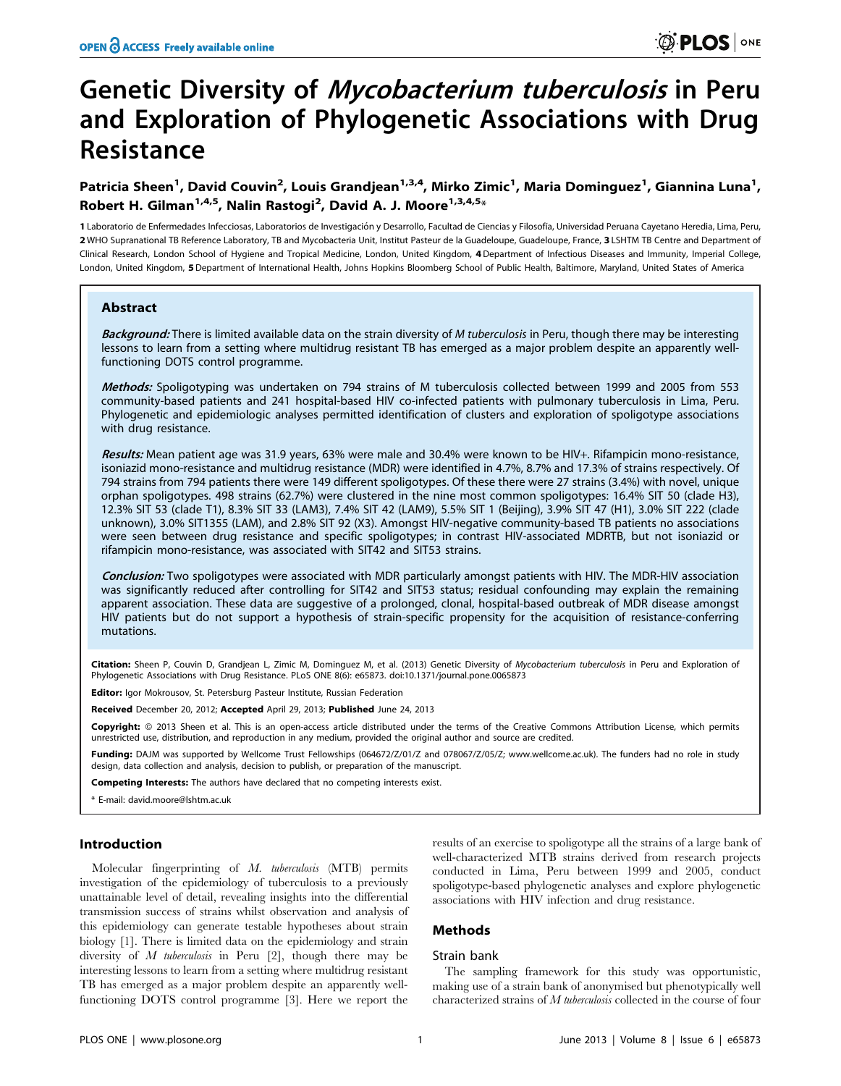# Genetic Diversity of Mycobacterium tuberculosis in Peru and Exploration of Phylogenetic Associations with Drug Resistance

Patricia Sheen<sup>1</sup>, David Couvin<sup>2</sup>, Louis Grandjean<sup>1,3,4</sup>, Mirko Zimic<sup>1</sup>, Maria Dominguez<sup>1</sup>, Giannina Luna<sup>1</sup>, Robert H. Gilman<sup>1,4,5</sup>, Nalin Rastogi<sup>2</sup>, David A. J. Moore<sup>1,3,4,5</sup>\*

1 Laboratorio de Enfermedades Infecciosas, Laboratorios de Investigación y Desarrollo, Facultad de Ciencias y Filosofía, Universidad Peruana Cayetano Heredia, Lima, Peru, 2 WHO Supranational TB Reference Laboratory, TB and Mycobacteria Unit, Institut Pasteur de la Guadeloupe, Guadeloupe, France, 3 LSHTM TB Centre and Department of Clinical Research, London School of Hygiene and Tropical Medicine, London, United Kingdom, 4 Department of Infectious Diseases and Immunity, Imperial College, London, United Kingdom, 5Department of International Health, Johns Hopkins Bloomberg School of Public Health, Baltimore, Maryland, United States of America

## Abstract

Background: There is limited available data on the strain diversity of M tuberculosis in Peru, though there may be interesting lessons to learn from a setting where multidrug resistant TB has emerged as a major problem despite an apparently wellfunctioning DOTS control programme.

Methods: Spoligotyping was undertaken on 794 strains of M tuberculosis collected between 1999 and 2005 from 553 community-based patients and 241 hospital-based HIV co-infected patients with pulmonary tuberculosis in Lima, Peru. Phylogenetic and epidemiologic analyses permitted identification of clusters and exploration of spoligotype associations with drug resistance.

Results: Mean patient age was 31.9 years, 63% were male and 30.4% were known to be HIV+. Rifampicin mono-resistance, isoniazid mono-resistance and multidrug resistance (MDR) were identified in 4.7%, 8.7% and 17.3% of strains respectively. Of 794 strains from 794 patients there were 149 different spoligotypes. Of these there were 27 strains (3.4%) with novel, unique orphan spoligotypes. 498 strains (62.7%) were clustered in the nine most common spoligotypes: 16.4% SIT 50 (clade H3), 12.3% SIT 53 (clade T1), 8.3% SIT 33 (LAM3), 7.4% SIT 42 (LAM9), 5.5% SIT 1 (Beijing), 3.9% SIT 47 (H1), 3.0% SIT 222 (clade unknown), 3.0% SIT1355 (LAM), and 2.8% SIT 92 (X3). Amongst HIV-negative community-based TB patients no associations were seen between drug resistance and specific spoligotypes; in contrast HIV-associated MDRTB, but not isoniazid or rifampicin mono-resistance, was associated with SIT42 and SIT53 strains.

Conclusion: Two spoligotypes were associated with MDR particularly amongst patients with HIV. The MDR-HIV association was significantly reduced after controlling for SIT42 and SIT53 status; residual confounding may explain the remaining apparent association. These data are suggestive of a prolonged, clonal, hospital-based outbreak of MDR disease amongst HIV patients but do not support a hypothesis of strain-specific propensity for the acquisition of resistance-conferring mutations.

Citation: Sheen P, Couvin D, Grandjean L, Zimic M, Dominguez M, et al. (2013) Genetic Diversity of Mycobacterium tuberculosis in Peru and Exploration of Phylogenetic Associations with Drug Resistance. PLoS ONE 8(6): e65873. doi:10.1371/journal.pone.0065873

**Editor:** Igor Mokrousov, St. Petersburg Pasteur Institute, Russian Federation

Received December 20, 2012; Accepted April 29, 2013; Published June 24, 2013

Copyright: © 2013 Sheen et al. This is an open-access article distributed under the terms of the Creative Commons Attribution License, which permits unrestricted use, distribution, and reproduction in any medium, provided the original author and source are credited.

Funding: DAJM was supported by Wellcome Trust Fellowships (064672/Z/01/Z and 078067/Z/05/Z; www.wellcome.ac.uk). The funders had no role in study design, data collection and analysis, decision to publish, or preparation of the manuscript.

Competing Interests: The authors have declared that no competing interests exist.

\* E-mail: david.moore@lshtm.ac.uk

## Introduction

Molecular fingerprinting of M. tuberculosis (MTB) permits investigation of the epidemiology of tuberculosis to a previously unattainable level of detail, revealing insights into the differential transmission success of strains whilst observation and analysis of this epidemiology can generate testable hypotheses about strain biology [1]. There is limited data on the epidemiology and strain diversity of *M* tuberculosis in Peru [2], though there may be interesting lessons to learn from a setting where multidrug resistant TB has emerged as a major problem despite an apparently wellfunctioning DOTS control programme [3]. Here we report the

results of an exercise to spoligotype all the strains of a large bank of well-characterized MTB strains derived from research projects conducted in Lima, Peru between 1999 and 2005, conduct spoligotype-based phylogenetic analyses and explore phylogenetic associations with HIV infection and drug resistance.

# Methods

#### Strain bank

The sampling framework for this study was opportunistic, making use of a strain bank of anonymised but phenotypically well characterized strains of M tuberculosis collected in the course of four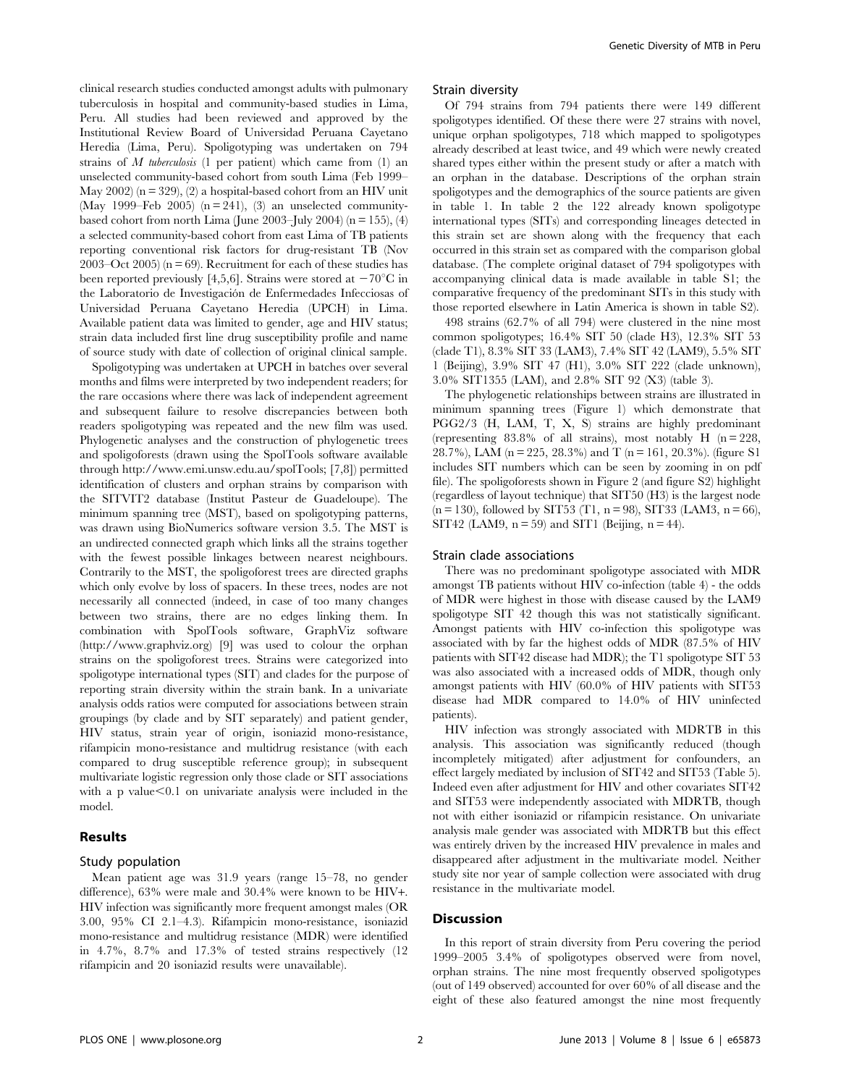clinical research studies conducted amongst adults with pulmonary tuberculosis in hospital and community-based studies in Lima, Peru. All studies had been reviewed and approved by the Institutional Review Board of Universidad Peruana Cayetano Heredia (Lima, Peru). Spoligotyping was undertaken on 794 strains of  $M$  tuberculosis (1 per patient) which came from (1) an unselected community-based cohort from south Lima (Feb 1999– May  $2002$  (n = 329), (2) a hospital-based cohort from an HIV unit (May 1999–Feb 2005) ( $n = 241$ ), (3) an unselected communitybased cohort from north Lima (June 2003–July 2004) ( $n = 155$ ), (4) a selected community-based cohort from east Lima of TB patients reporting conventional risk factors for drug-resistant TB (Nov 2003–Oct 2005) ( $n = 69$ ). Recruitment for each of these studies has been reported previously [4,5,6]. Strains were stored at  $-70^{\circ}$ C in the Laboratorio de Investigación de Enfermedades Infecciosas of Universidad Peruana Cayetano Heredia (UPCH) in Lima. Available patient data was limited to gender, age and HIV status; strain data included first line drug susceptibility profile and name of source study with date of collection of original clinical sample.

Spoligotyping was undertaken at UPCH in batches over several months and films were interpreted by two independent readers; for the rare occasions where there was lack of independent agreement and subsequent failure to resolve discrepancies between both readers spoligotyping was repeated and the new film was used. Phylogenetic analyses and the construction of phylogenetic trees and spoligoforests (drawn using the SpolTools software available through http://www.emi.unsw.edu.au/spolTools; [7,8]) permitted identification of clusters and orphan strains by comparison with the SITVIT2 database (Institut Pasteur de Guadeloupe). The minimum spanning tree (MST), based on spoligotyping patterns, was drawn using BioNumerics software version 3.5. The MST is an undirected connected graph which links all the strains together with the fewest possible linkages between nearest neighbours. Contrarily to the MST, the spoligoforest trees are directed graphs which only evolve by loss of spacers. In these trees, nodes are not necessarily all connected (indeed, in case of too many changes between two strains, there are no edges linking them. In combination with SpolTools software, GraphViz software (http://www.graphviz.org) [9] was used to colour the orphan strains on the spoligoforest trees. Strains were categorized into spoligotype international types (SIT) and clades for the purpose of reporting strain diversity within the strain bank. In a univariate analysis odds ratios were computed for associations between strain groupings (by clade and by SIT separately) and patient gender, HIV status, strain year of origin, isoniazid mono-resistance, rifampicin mono-resistance and multidrug resistance (with each compared to drug susceptible reference group); in subsequent multivariate logistic regression only those clade or SIT associations with a p value $< 0.1$  on univariate analysis were included in the model.

# Results

#### Study population

Mean patient age was 31.9 years (range 15–78, no gender difference), 63% were male and 30.4% were known to be HIV+. HIV infection was significantly more frequent amongst males (OR 3.00, 95% CI 2.1–4.3). Rifampicin mono-resistance, isoniazid mono-resistance and multidrug resistance (MDR) were identified in 4.7%, 8.7% and 17.3% of tested strains respectively (12 rifampicin and 20 isoniazid results were unavailable).

#### Strain diversity

Of 794 strains from 794 patients there were 149 different spoligotypes identified. Of these there were 27 strains with novel, unique orphan spoligotypes, 718 which mapped to spoligotypes already described at least twice, and 49 which were newly created shared types either within the present study or after a match with an orphan in the database. Descriptions of the orphan strain spoligotypes and the demographics of the source patients are given in table 1. In table 2 the 122 already known spoligotype international types (SITs) and corresponding lineages detected in this strain set are shown along with the frequency that each occurred in this strain set as compared with the comparison global database. (The complete original dataset of 794 spoligotypes with accompanying clinical data is made available in table S1; the comparative frequency of the predominant SITs in this study with those reported elsewhere in Latin America is shown in table S2).

498 strains (62.7% of all 794) were clustered in the nine most common spoligotypes; 16.4% SIT 50 (clade H3), 12.3% SIT 53 (clade T1), 8.3% SIT 33 (LAM3), 7.4% SIT 42 (LAM9), 5.5% SIT 1 (Beijing), 3.9% SIT 47 (H1), 3.0% SIT 222 (clade unknown), 3.0% SIT1355 (LAM), and 2.8% SIT 92 (X3) (table 3).

The phylogenetic relationships between strains are illustrated in minimum spanning trees (Figure 1) which demonstrate that PGG2/3 (H, LAM, T, X, S) strains are highly predominant (representing 83.8% of all strains), most notably H  $(n = 228$ , 28.7%), LAM ( $n = 225$ , 28.3%) and T ( $n = 161$ , 20.3%). (figure S1 includes SIT numbers which can be seen by zooming in on pdf file). The spoligoforests shown in Figure 2 (and figure S2) highlight (regardless of layout technique) that SIT50 (H3) is the largest node  $(n = 130)$ , followed by SIT53 (T1, n = 98), SIT33 (LAM3, n = 66), SIT42 (LAM9,  $n = 59$ ) and SIT1 (Beijing,  $n = 44$ ).

#### Strain clade associations

There was no predominant spoligotype associated with MDR amongst TB patients without HIV co-infection (table 4) - the odds of MDR were highest in those with disease caused by the LAM9 spoligotype SIT 42 though this was not statistically significant. Amongst patients with HIV co-infection this spoligotype was associated with by far the highest odds of MDR (87.5% of HIV patients with SIT42 disease had MDR); the T1 spoligotype SIT 53 was also associated with a increased odds of MDR, though only amongst patients with HIV (60.0% of HIV patients with SIT53 disease had MDR compared to 14.0% of HIV uninfected patients).

HIV infection was strongly associated with MDRTB in this analysis. This association was significantly reduced (though incompletely mitigated) after adjustment for confounders, an effect largely mediated by inclusion of SIT42 and SIT53 (Table 5). Indeed even after adjustment for HIV and other covariates SIT42 and SIT53 were independently associated with MDRTB, though not with either isoniazid or rifampicin resistance. On univariate analysis male gender was associated with MDRTB but this effect was entirely driven by the increased HIV prevalence in males and disappeared after adjustment in the multivariate model. Neither study site nor year of sample collection were associated with drug resistance in the multivariate model.

## Discussion

In this report of strain diversity from Peru covering the period 1999–2005 3.4% of spoligotypes observed were from novel, orphan strains. The nine most frequently observed spoligotypes (out of 149 observed) accounted for over 60% of all disease and the eight of these also featured amongst the nine most frequently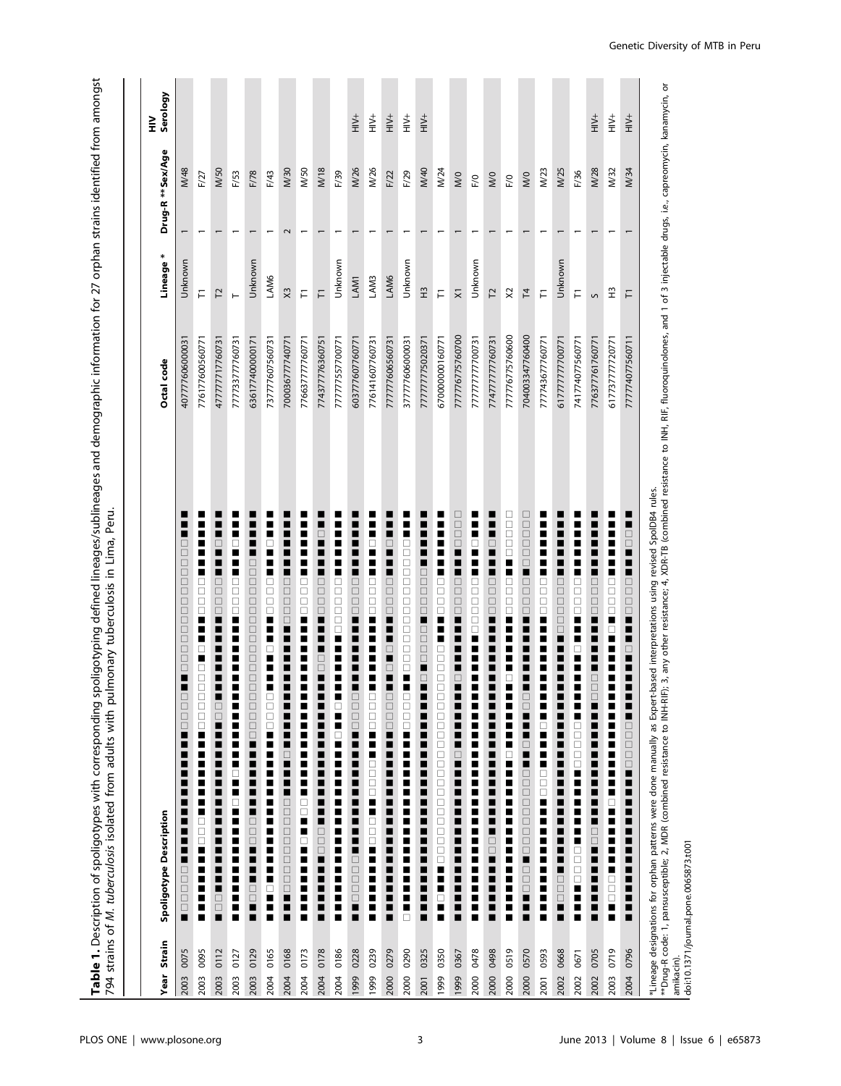**Table 1.** Description of spoligotypes with corresponding spoligotyping defined lineages/sublineages and demographic information for 27 orphan strains identified from amongst<br>794 strains of *M. tuberculosis* isolated from Table 1. Description of spoligotypes with corresponding spoligotyping defined lineages/sublineages and demographic information for 27 orphan strains identified from amongst 794 strains of M. tuberculosis isolated from adults with pulmonary tuberculosis in Lima, Peru.

| Year Strain |           | Spoligotype Description                                                                                                                                                                                                                                                                                                                              | Octal code      | Lineage *           | Drug-R ** Sex/Age |                | Serology<br>⋚         |
|-------------|-----------|------------------------------------------------------------------------------------------------------------------------------------------------------------------------------------------------------------------------------------------------------------------------------------------------------------------------------------------------------|-----------------|---------------------|-------------------|----------------|-----------------------|
| 2003        | 0075      | $\Box$<br>$\Box$<br>$\begin{array}{c} \square \\ \square \end{array}$<br>$\Box$<br>$\Box$<br>$\Box$<br>$\Box$<br>$\Box$<br>$\Box$<br>$\Box$<br>$\Box$<br>$\Box$<br>$\Box$<br>$\overline{\phantom{a}}$<br>ப<br>$\Box$<br>$\Box$<br>$\Box$<br>Η<br>■<br>Ξ<br>■<br>■<br>■<br>■<br>$\overline{\phantom{a}}$<br>□<br>$\Box$<br>$\Box$<br>$\Box$<br>$\Box$ | 407777606000031 | Unknown             |                   | M/48           |                       |
| 2003        | П<br>0095 | ■<br>□<br>□<br>$\Box$<br>$\Box$<br>п<br>⊔<br>□<br>$\begin{array}{c} \square \\ \square \end{array}$<br>$\begin{array}{c} \square \\ \square \end{array}$<br>$\Box$<br>H<br>П<br>E<br>■<br>$\begin{array}{c} \square \\ \square \end{array}$<br>$\Box$<br>F<br>п<br>П<br>П<br>■<br>п                                                                  | 776177600560771 | Ē                   |                   | F/27           |                       |
| 2003        | П<br>0112 | □<br>■<br>$\Box$<br>$\begin{array}{c} \square \\ \square \end{array}$<br>$\Box$<br>¢<br>$\begin{array}{c} \square \\ \square \end{array}$<br>■<br>Г<br>Г<br>Е<br>┖<br>Е<br>$\bar{\Xi}$                                                                                                                                                               | 477777717760731 | 12                  |                   | M/50           |                       |
| 2003        | п<br>0127 | π<br>П<br>□<br>$\Box$<br>$\Box$<br>□<br>$\overline{\phantom{a}}$<br>π<br>ī<br>ш<br>■<br>■<br>H<br>$\Box$<br>■<br>$\overline{a}$<br>■<br>П<br>Ľ<br>■<br>Ē<br>П<br>■<br>П                                                                                                                                                                              | 777733777760731 |                     |                   | F/53           |                       |
| 2003        | 0129      | С<br>$\Box$<br>$\Box$<br>$\Box$<br>$\Box$<br>$\Box$<br>$\Box$<br>$\Box$<br>$\Box$<br>$\Box$<br>П<br>$\frac{\Box}{\Box}$<br>$\Box$<br>0<br>0<br>0<br>$\Box$<br>$\begin{array}{c} \square \\ \square \end{array}$<br>$\Box$<br>Η<br>$\begin{array}{c} \square \\ \square \end{array}$<br>■                                                             | 636177400000171 | Unknown             |                   | F/78           |                       |
| 2004        | 0165      | П<br>□<br>$\Box$<br>$\Box$<br>$\Box$<br>■<br>$\begin{array}{c} \square \\ \square \end{array}$<br>$\Box$<br>F<br>П<br>■<br>■<br>$\Box$<br>■                                                                                                                                                                                                          | 737777607560731 | LAM6                |                   | F/43           |                       |
| 2004        | 0168      | ۳<br>■<br>$\Box$<br>$\Box$<br>$\Box$<br>$\Box$<br>$\Box$<br>■<br>■<br>E<br>■<br>∎<br>$\overline{\phantom{a}}$<br>$\Box$<br>■<br>■<br>■<br>ō<br>口口口<br>$\begin{array}{c} \square \\ \square \end{array}$<br>000<br>i                                                                                                                                  | 700036777740771 | X3                  | 2                 | <b>M30</b>     |                       |
| 2004        | ■<br>0173 | ■<br>□<br>□<br>$\Box$<br>□<br>■<br>■<br>П<br>H<br>Ξ<br>■<br>□<br>$\Box$<br>F<br>$\Box$<br>H<br>П<br>i<br>Ξ                                                                                                                                                                                                                                           | 776637777760771 | F                   |                   | <b>M/50</b>    |                       |
| 2004        | 0178      | $\Box$<br>$\begin{array}{c} \square \\ \square \end{array}$<br>$\Box$<br>■<br>$\Box$<br>$\begin{array}{c} \square \\ \square \end{array}$<br>■                                                                                                                                                                                                       | 774377776360751 | $\overline{\vdash}$ |                   | M/18           |                       |
| 2004        | ■<br>0186 | П<br>□<br>$\begin{array}{c} \square \\ \square \end{array}$<br>$\Box$<br>$\Box$<br>Ò<br>E<br>П<br>П<br>■<br>$\Box$<br>■<br>E<br>H<br>■<br>H<br>П<br>Ē<br>i<br>÷                                                                                                                                                                                      | 777777557700771 | Unknown             |                   | F/39           |                       |
| 1999        | ∎<br>0228 | ■<br>$\Box$<br>$\overline{\square}$<br>П<br>$\Box$<br>$\Box$<br>H<br>■<br>π<br>π<br>■<br>$\overline{a}$<br>0000<br>Ξ                                                                                                                                                                                                                                 | 603777607760771 | LAM1                |                   | M/26           | $\frac{+}{+}$         |
| 1999        | Ë<br>0239 | ٠<br>П<br>$\Box$<br>□<br>П<br>∎<br>Z<br>▋<br>□<br>$\Box$<br>$\Box$<br>H<br>$\Box$<br>□<br>$\Box$<br>π<br>ō<br>□<br>I<br>■<br>π<br>$\ddot{\phantom{a}}$                                                                                                                                                                                               | 776141607760731 | LAM3                |                   | M/26           | $\stackrel{+}{\cong}$ |
| 2000 0279   | ∎         | $\Box$<br>Г<br>$\Box$<br>$\Box$<br>$\Box$<br>$\Box$<br>■<br>■<br>Е<br>$\Box$<br>π<br>$\Box$<br>■<br>■<br>ப<br>$\begin{array}{c} \square \\ \square \end{array}$<br>$\Box$<br>■<br>■<br>■<br>■                                                                                                                                                        | 777777606560731 | LAM6                |                   | F/22           | $\stackrel{+}{\cong}$ |
| 2000        | □<br>0290 | П<br>□<br>$\Box$<br>$\begin{array}{c} \square \\ \square \end{array}$<br>0<br>0<br>0<br>0<br>$\Box$<br>$\Box$<br>$\Box$<br>$\Box$<br>$\begin{array}{c} \square \\ \square \end{array}$<br>$\Box$<br>П<br>π<br>$\begin{array}{c} \square \\ \square \end{array}$<br>$\Box$<br>H<br>П<br>П<br>π<br>■<br>◼<br>П<br>■<br>П<br>π<br>■<br>H<br>I<br>П<br>Ξ | 377777606000031 | Unknown             |                   | F/29           | $\stackrel{+}{\cong}$ |
| 2001        | п<br>0325 | ■<br>∎<br>$\Box$<br>$\Box$<br>$\begin{array}{c} \square \\ \square \end{array}$<br>$\Box$<br>$\overline{a}$<br>$\Box$<br>$\Box$<br>$\Box$<br>$\overline{\phantom{a}}$<br>Ξ<br>▉<br>$\blacksquare$<br>■<br>■<br>$\overline{\phantom{a}}$<br>■<br>E<br>■<br>Ē<br>■<br>$\overline{\phantom{a}}$                                                         | 777777775020371 | $\tilde{H}$         |                   | M/40           | $\stackrel{+}{\cong}$ |
| 1999        | 0350      | ■<br>□<br>$\Box$<br>ō<br>$\Box$<br>■<br>∎<br>$\Box$<br>□<br>$\Box$<br>Ō<br>$\Box$<br>$\Box$<br>000000<br>日口口<br>日日日<br><b>DDDD</b><br>□<br>■                                                                                                                                                                                                         | 670000000160771 | Ē                   |                   | M/24           |                       |
| 1999        | ∎<br>0367 | 0000<br>▉<br>日口口<br>$\Box$<br>π<br>■<br>E<br>$\square$<br>П<br>E<br>Г<br>$\overline{\phantom{a}}$<br>Е<br>Г<br>E<br>Ē<br>E<br>E                                                                                                                                                                                                                      | 777776775760700 | $\overline{\times}$ |                   | W <sub>0</sub> |                       |
| 2000        | E<br>0478 | ■<br>□<br>ш<br>□<br>$\Box$<br>$\Box$<br>□<br>□<br>п<br>■<br>■<br>H<br>π<br>■<br>I<br>π<br>■<br>Ē<br>Ξ                                                                                                                                                                                                                                                | 777777777700731 | Unknown             |                   | F/0            |                       |
| 2000        | 8640      | $\Box$<br>$\Box$<br>$\Box$<br>П<br>$\Box$<br>$\Box$                                                                                                                                                                                                                                                                                                  | 774777777760731 | 12                  |                   | W <sub>0</sub> |                       |
| 2000        | 0519      | □<br>$\Box$<br>$\Box$<br>$\Box$<br>□<br>$\Box$<br>$\Box$<br>$\Box$<br>$\Box$<br>□<br>■<br>■<br>□<br>■<br>■<br>п<br>■<br>ш<br>■<br>■                                                                                                                                                                                                                  | 777776775760600 | $\approx$           |                   | F/0            |                       |
| 2000        | 0570      | □<br>口口口<br>$\Box$<br>$\Box$<br>П<br>$\Box$<br>$\begin{array}{c} \square \\ \square \end{array}$<br>$\Box$<br>■<br>■<br>■<br>$\overline{a}$<br>■<br>$\overline{a}$<br>日口口<br>口口口<br>$\begin{array}{c} \square \\ \square \end{array}$<br><b>OODDDDDDDDDD</b>                                                                                         | 704003347760400 | $\overline{1}$      |                   | W <sub>0</sub> |                       |
| 2001        | 0593      | □<br>□<br>$\Box$<br>П<br>■<br>H<br>$\overline{a}$<br>$\Box$<br>$\Box$<br>Е<br>■<br>E<br>H<br>H<br>п                                                                                                                                                                                                                                                  | 777743677760771 | F                   |                   | M/23           |                       |
| 2002        | 0668      | $\Box$<br>$\bar{a}$<br>$\Box$<br>□<br>0<br>0<br>0<br>■                                                                                                                                                                                                                                                                                               | 61777777700771  | Unknown             |                   | M/25           |                       |
| 2002        | 0671      | П<br>□<br>$\Box$<br>□<br>□<br>п<br>■<br>π<br>П<br>□<br>$\Box$<br>□<br>$\Box$<br>π<br>■<br>H<br>π<br>П<br>$\Box$<br>ō<br>$\begin{array}{c} \square \\ \square \end{array}$<br>П<br>Π<br>H                                                                                                                                                             | 741774077560771 | F                   |                   | F/36           |                       |
| 2002        | ■<br>0705 | ■<br>□<br>$\Box$<br>$\Box$<br>П<br>$\Box$<br>$\Box$<br>□<br>Е<br>П<br>■<br>■<br>■<br>$\Box$<br>$\Box$<br>Η<br>■<br>■<br>П<br>■                                                                                                                                                                                                                       | 776377761760771 | S                   |                   | M/28           | $\stackrel{+}{\cong}$ |
| 2003        | ■<br>0719 | ▊<br>□<br>□<br>$\Box$<br>□<br>П<br>□<br>■<br>¢.<br>▋<br>■<br>■<br>□<br>■<br>■<br>п<br>■<br>$\overline{\phantom{a}}$<br>□<br>$\Box$<br>□<br>Е                                                                                                                                                                                                         | 617737777720771 | E                   |                   | M/32           | $\stackrel{+}{\cong}$ |
| 2004        | П<br>0796 | ▁<br>1000<br>Ξ<br>Ξ<br>П<br>$\Box$<br>$\begin{array}{c} \square \\ \square \end{array}$<br>$\Box$<br>$\overline{\phantom{a}}$<br>Г<br>$\Box$<br>■<br>$\frac{1}{2}$<br>■<br>П<br>$\Box$<br>$\begin{array}{c} \square \\ \square \end{array}$<br>$\Box$<br>$\Box$<br>П<br>■<br>Е<br>Ξ<br>П<br>П<br>П<br>π<br>Е<br>Ξ<br>π<br>Е<br>Ξ<br>П<br>Е           | 777774077560711 | F                   |                   | M/34           | $\stackrel{+}{\cong}$ |
|             |           | *Lineage designations for orphan patterns were done manually as Expert-based interpretations using revised SpoIDB4 rules.<br>**Drug-R code: 1, pansusceptible; 2, MDR (combined resistance to NH-RIF); 3, any other resistance; 4                                                                                                                    |                 |                     |                   |                |                       |

| amikacin).<br>| doi:10.1371/journal.pone.0065873.t001 doi:10.1371/journal.pone.0065873.t001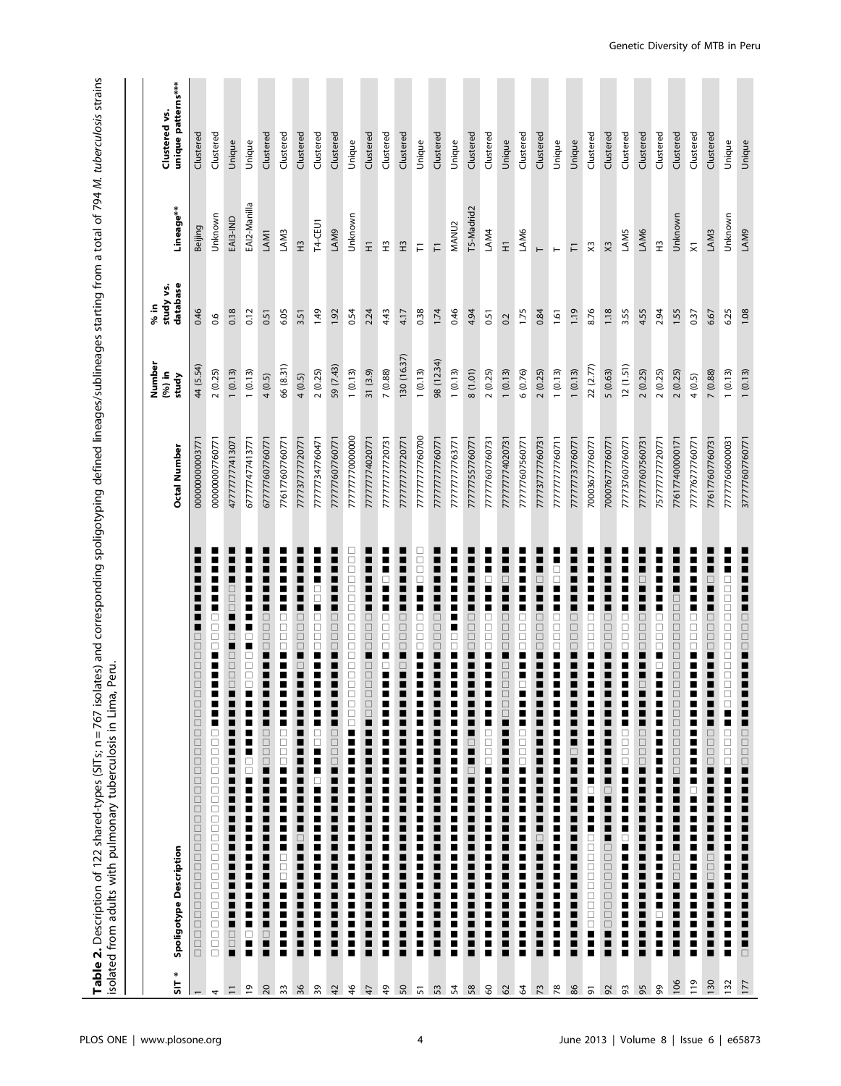**Table 2.** Description of 122 shared-types (SITs; n = 767 isolates) and corresponding spoligotyping defined lineages/sublineages starting from a total of 794 M. tuberculosis strains<br>isolated from adults with pulmonary tube Table 2. Description of 122 shared-types (SITs; n = 767 isolates) and corresponding spoligotyping defined lineages/sublineages starting from a total of 794 M. tuberculosis strains isolated from adults with pulmonary tuberculosis in Lima, Peru.

| $\ast$<br>$\frac{1}{2}$                 | Spoligotype Description                                                                                                                                                                                                                                                                                                                                                                                                                                                                                             | Octal Number    | Number<br>$(96)$ in<br>study | database<br>study vs.<br>% in | Lineage**                | unique patterns***<br>Clustered vs. |
|-----------------------------------------|---------------------------------------------------------------------------------------------------------------------------------------------------------------------------------------------------------------------------------------------------------------------------------------------------------------------------------------------------------------------------------------------------------------------------------------------------------------------------------------------------------------------|-----------------|------------------------------|-------------------------------|--------------------------|-------------------------------------|
|                                         | ■<br>∎<br>ш<br>■<br>■<br>ш<br>■<br>⊔<br>$\Box$<br>$\Box$<br>$\Box$<br>$\begin{array}{c} \square \\ \square \end{array}$<br>□<br>$\Box$<br>$\Box$<br>$\Box$<br>$\Box$<br>$\Box$<br>$\Box$<br>$\Box$<br>$\Box$<br>$\Box$<br>$\Box$<br>$\Box$<br>$\Box$<br>$\Box$<br>$\Box$<br>$\Box$<br>$\Box$<br>$\Box$<br>$\Box$<br>$\Box$<br>$\Box$<br>$\Box$<br>$\Box$<br>$\Box$<br>$\Box$<br>$\Box$<br>$\Box$<br>$\Box$                                                                                                          | 00000000000377  | 44 (5.54)                    | 0.46                          | Beijing                  | Clustered                           |
| 4                                       | ■<br>E<br>П<br>Ξ<br>∎<br>$\begin{array}{c} \square \\ \square \end{array}$<br>$\Box$<br>E<br>H<br>■<br>$\blacksquare$<br>Π<br>П<br>$\Box$<br>$\Box$<br>i<br>Dood<br>Doo<br>$\Box$<br>$\mathop\square$<br>$\Box$<br>$\Box$<br>$\Box$<br>$\Box$<br>$\Box$<br>$\Box$<br>$\Box$<br>$\Box$<br>$\Box$<br>$\Box$<br>$\Box$<br>$\Box$                                                                                                                                                                                       | 000000007760771 | 2(0.25)                      | 0.6                           | Unknown                  | Clustered                           |
| $\equiv$                                | ■<br>■<br>$\Box$<br>$\Box$<br>$\Box$<br>H<br>$\Box$<br>π<br>$\Box$<br>0<br>0<br>0<br>0<br>▖<br>■<br>Г<br>■<br>H<br>П<br>П<br>Ξ<br>П<br>Ξ<br>Ξ<br>п<br>П<br>Ξ<br>Ξ<br>Ξ<br>Ξ<br>п<br>П<br>$\overline{\phantom{a}}$<br>П<br>Ξ<br>п<br>$\Box$<br>$\Box$<br>п                                                                                                                                                                                                                                                           | 477777777413071 | 1(0.13)                      | 0.18                          | EAI3-IND                 | Unique                              |
| $\overline{6}$                          | ■<br>Z<br>■<br>■<br>■<br>$\overline{\phantom{a}}$<br>□<br>■<br><b>DODDDDDDD</b><br>∎<br>z<br>П<br>H<br><b>POD</b><br>Ē<br>H<br>H<br>П<br>Ē<br>H<br>H<br>π<br>Ξ<br>п<br>$\Box$<br>H                                                                                                                                                                                                                                                                                                                                  | 677777477413771 | 1(0.13)                      | 0.12                          | EAI2-Manilla             | Unique                              |
| $\Omega$                                | ■<br>z<br>z<br>■<br>■<br>∎<br>$\Box$<br>$\Box$<br>$\Box$<br>$\Box$<br>$\frac{1}{2}$<br>∎<br>E<br>Ξ<br>$\begin{array}{c} \square \\ \square \end{array}$<br>$\Box$<br>$\Box$<br>Ξ<br>H<br>Ξ<br>H<br>$\overline{\phantom{a}}$<br>Ξ<br>■<br>H<br>$\overline{\phantom{a}}$<br>■<br>Ξ<br>П<br>$\Box$<br>Η                                                                                                                                                                                                                | 677777607760771 | 4(0.5)                       | 0.51                          | LAM1                     | Clustered                           |
| 33                                      | I<br>■<br>Ξ<br>Ξ<br>π<br><b>DODDDDDDDD</b><br>$\frac{1}{2}$<br>■<br>E<br><b>Production</b><br>E<br>H<br>H<br>Ξ<br>Ξ<br>Е<br>E<br>E                                                                                                                                                                                                                                                                                                                                                                                  | 776177607760771 | 66 (8.31)                    | 6.05                          | LAM3                     | Clustered                           |
| 36                                      | $\overline{\phantom{a}}$<br>■<br>■<br>■<br>■<br>$\Box$<br>$\Box$<br>$\Box$<br>$\Box$<br>İ<br>■<br>E<br>■<br>$\overline{\phantom{a}}$<br>Ξ<br>Ξ<br>■<br>$\overline{\phantom{a}}$<br>■<br>H<br>■<br>$\Box$<br>$\overline{\phantom{a}}$<br>H<br>$\overline{\phantom{a}}$<br>■<br>■<br>$\overline{\phantom{a}}$<br>■<br>■                                                                                                                                                                                               | 777737777720771 | 4(0.5)                       | 3.51                          | $\tilde{H}$              | Clustered                           |
| 39                                      | $\overline{\phantom{a}}$<br>mod<br>D<br>i<br>D<br>D<br>D<br>$\begin{bmatrix} 0 & 0 \\ 0 & 0 \\ 0 & 0 \\ 0 & 0 \\ 0 & 0 \\ 0 & 0 \\ 0 & 0 \\ 0 & 0 \\ 0 & 0 \\ 0 & 0 \\ 0 & 0 \\ 0 & 0 \\ 0 & 0 \\ 0 & 0 \\ 0 & 0 \\ 0 & 0 \\ 0 & 0 \\ 0 & 0 \\ 0 & 0 \\ 0 & 0 & 0 \\ 0 & 0 & 0 \\ 0 & 0 & 0 \\ 0 & 0 & 0 & 0 \\ 0 & 0 & 0 & 0 \\ 0 & 0 & 0 & 0 \\ 0 & 0 & 0 & 0 & 0 \\ 0 & 0 & 0 & 0 & 0 \\ 0 & 0 & $<br>$\overline{\phantom{a}}$<br>10<br>00<br>E<br>$\frac{1}{2}$<br>E<br>$\overline{\phantom{a}}$<br>п<br>Ë<br>H | 777777347760471 | 2(0.25)                      | 1.49                          | T4-CEU1                  | Clustered                           |
| 42                                      | $\overline{\phantom{a}}$<br>$\overline{\phantom{a}}$<br>Ξ<br>П<br>$\Box$<br>ō<br>$\Box$<br>$\square$<br><b>:</b><br>:<br>■<br>Ξ<br>∎<br>$\Box$<br>$\begin{array}{c} \square \\ \square \end{array}$<br>Ξ<br>∎<br>■<br>■<br>∎<br>Ξ<br>Ξ<br>π<br>$\mathbf{r}$<br>Ξ<br>$\overline{\phantom{a}}$<br>П<br>Ξ<br>Ξ<br>∎<br>п<br>■                                                                                                                                                                                          | 777777607760771 | 59 (7.43)                    | 1.92                          | LAM9                     | Clustered                           |
| $\frac{1}{2}$                           | 10000000000000000<br>□<br>п<br>п<br>П<br>П<br>H<br>П<br>П<br>Ξ<br>п<br>İ<br>П<br>H<br>İ<br>$\blacksquare$<br>п<br>■                                                                                                                                                                                                                                                                                                                                                                                                 | 777777770000000 | 1(0.13)                      | 0.54                          | Unknown                  | Unique                              |
| $\ddot{t}$                              | $\overline{\phantom{a}}$<br>∎<br>■<br>■<br>$\begin{array}{c} \blacksquare \\ \square \\ \square \end{array}$<br>$\bar{a}$<br><b>PDDD</b><br>□<br>$\Box$<br>$\Box$<br>■<br>$\ddot{\phantom{a}}$<br>Ξ<br>■<br>■<br>■<br>■<br>■<br>■<br>■<br>■<br>$\mathbf{I}$<br>∎<br>■<br>Ξ<br>Ξ<br>$\overline{\phantom{a}}$<br>∎<br>п<br>■                                                                                                                                                                                          | 77777774020771  | 31 (3.9)                     | 2.24                          | $\overline{z}$           | Clustered                           |
| \$                                      | I<br>$\Box$<br>П<br><b>Property</b><br>■<br>E<br>■<br>İ<br>$\blacksquare$<br>Ξ<br>π<br>i<br>П<br>П<br>i<br>E<br>i<br>π<br>■                                                                                                                                                                                                                                                                                                                                                                                         | 777777777720731 | 7(0.88)                      | 4.43                          | $\widetilde{\pm}$        | Clustered                           |
|                                         | п<br>∎<br>Е<br>■<br>0000000<br>$\overline{\phantom{a}}$<br>π<br>Ξ<br>π<br>∎<br>■<br>Е<br>■<br>Ξ<br>■<br>∎<br>Е<br>■<br>π<br>$\overline{\phantom{a}}$<br>∎<br>Е<br>π<br>■<br>π<br>∎<br>E<br>∎<br>■                                                                                                                                                                                                                                                                                                                   | 77777777720771  | 130 (16.37)                  | 4.17                          | $\tilde{H}$              | Clustered                           |
| $\begin{array}{c} 50 \\ 51 \end{array}$ | 8888<br>888<br>■<br>■<br>$\begin{array}{c} \square \\ \square \end{array}$<br><b>FOR</b><br>Е<br>П<br>i<br>П<br>Е<br>Е<br>Г<br>Е<br>П<br>П<br>П<br>I<br>Е<br>П<br>П<br>Е<br>H<br>Е<br>Е<br>П                                                                                                                                                                                                                                                                                                                        | 77777777760700  | 1(0.13)                      | 0.38                          | Ε                        | Unique                              |
|                                         | $\Box$<br>$\bar{\Box}$<br>$\square$<br>E<br>■                                                                                                                                                                                                                                                                                                                                                                                                                                                                       | 777777777760771 | 98 (12.34)                   | 1.74                          | Ε                        | Clustered                           |
| 53                                      | ■<br>I<br>$\begin{array}{c} \square \\ \square \end{array}$<br>∎<br>ш<br>■<br>Ξ<br>■<br>π<br>п<br>Е<br>■<br>Г<br>П<br>■<br>π<br>H<br>п<br>■                                                                                                                                                                                                                                                                                                                                                                         | 77777777763771  | 1(0.13)                      | 0.46                          | MANU2                    | Unique                              |
| 58                                      | $\Box$<br>ō<br>$\begin{array}{c} \square \\ \square \end{array}$<br>$\Box$<br>$\Box$                                                                                                                                                                                                                                                                                                                                                                                                                                | 777777557760771 | 8(1.01)                      | 4.94                          | T5-Madrid2               | Clustered                           |
| 8 <sup>o</sup>                          | □<br><b>DODDDD</b><br>Ξ<br>■<br>Г<br><b>DODDD</b><br>Ξ<br>■<br>Е<br>$\blacksquare$<br>H<br>Е<br>■<br>$\blacksquare$<br>i                                                                                                                                                                                                                                                                                                                                                                                            | 77777607760731  | 2(0.25)                      | 0.51                          | LAM4                     | Clustered                           |
| 62                                      | □<br>0000<br>000<br>$\Box$<br>$\Box$<br>▁<br>п<br>■<br>■                                                                                                                                                                                                                                                                                                                                                                                                                                                            | 777777774020731 | 1(0.13)                      | 0.2                           | $\overline{z}$           | Unique                              |
| $\mathcal{R}$                           | ■<br>■<br>$\Box$<br>$\Box$<br>$\begin{array}{c} \square \\ \square \end{array}$<br>$\blacksquare$<br>П<br>ш<br>ш<br>0000<br>$\overline{\phantom{a}}$<br>■<br>Ξ<br>E<br>■<br>■<br>İ<br>İ<br>Ξ                                                                                                                                                                                                                                                                                                                        | 777777607560771 | 6 (0.76)                     | 1.75                          | LAM6                     | Clustered                           |
| 73                                      | □<br>$\Box$<br>$\Box$<br>$\begin{array}{c} \square \\ \square \end{array}$<br>Ξ<br>■<br>■<br>□<br>Ò                                                                                                                                                                                                                                                                                                                                                                                                                 | 777737777760731 | 2(0.25)                      | 0.84                          |                          | Clustered                           |
| 78                                      | □<br>□<br>□<br>$\Box$<br>$\begin{array}{c} \square \\ \square \end{array}$<br>Ξ<br>■<br>۷<br>Ē<br>∎<br>E<br>۳<br>■<br>i<br>■<br>i<br>■                                                                                                                                                                                                                                                                                                                                                                              | 777777777760711 | 1(0.13)                      | 1.61                          |                          | Unique                              |
| 86                                      | $\Box$<br>$\square$<br>$\begin{array}{c} \square \\ \square \end{array}$<br>■<br>■<br>□<br>∎<br>▊<br>■<br>■<br>∎<br>▊<br>■<br>∎<br>■                                                                                                                                                                                                                                                                                                                                                                                | 777777737760771 | 1(0.13)                      | 1.19                          | Ε                        | Unique                              |
| $\overline{\sigma}$                     | $\Box$<br>ō<br>$\begin{array}{c} \square \\ \square \end{array}$<br>■<br>∎<br>I<br>Ē<br>Z<br>$\Box$<br> <br> -<br> -<br>$\Box$<br><b>UUU</b><br>$\frac{1}{1}$<br>$\Box$<br>Ē<br>$\ddot{\phantom{a}}$                                                                                                                                                                                                                                                                                                                | 700036777760771 | 22 (2.77)                    | 8.76                          | $\approx$                | Clustered                           |
| 92                                      | $\Box$<br>$\Box$<br>$\begin{array}{c} \square \\ \square \end{array}$<br>E<br>■<br>$\overline{\phantom{a}}$<br>■<br>E<br>■<br>$\Box$<br>-<br>-<br>-<br>$\Box$<br>$\Box$<br>$\begin{array}{c} \square \\ \square \end{array}$<br>$\begin{array}{c} \square \\ \square \end{array}$<br>$\Box$<br>$\begin{array}{c} \square \\ \square \end{array}$<br>■<br>Ξ<br>■                                                                                                                                                     | 700076777760771 | 5(0.63)                      | 1.18                          | X3                       | Clustered                           |
| 93                                      | Z<br>▊<br>□<br>$\Box$<br>$\begin{array}{c} \square \\ \square \end{array}$<br>■<br>▊<br>$\overline{\phantom{a}}$<br>▊<br>$\Box$<br>$\Box$<br>- - - - -<br>-<br>π<br>E<br>Ë<br>$\overline{\phantom{a}}$                                                                                                                                                                                                                                                                                                              | 777737607760771 | 12(1.51)                     | 3.55                          | LAM5                     | Clustered                           |
| 95                                      | ■<br>■<br>$\Box$<br>$\Box$<br>$\Box$<br>$\Box$<br>π<br>■<br>∎<br>$\Box$<br>■<br>□<br>$\bar{\Box}$<br>$\Box$<br>$\square$<br>$\overline{\phantom{a}}$<br>Ξ<br>$\overline{\phantom{a}}$<br>$\frac{1}{2}$<br>П<br>П<br>$\overline{\phantom{a}}$<br>П<br>$\overline{\phantom{a}}$                                                                                                                                                                                                                                       | 777777607560731 | 2(0.25)                      | 4.55                          | LAM6                     | Clustered                           |
| ஜ                                       | ■<br>π<br>∎<br>□<br>$\Box$<br>$\begin{array}{c} \square \\ \square \end{array}$<br>П<br>□<br>$\overline{\phantom{a}}$<br>∎<br>Е<br>■<br>H<br>п<br>$\overline{\phantom{a}}$<br>Ë<br>Ξ<br>::<br>Ë<br>$\Box$<br>п<br>E<br>$\overline{\phantom{a}}$                                                                                                                                                                                                                                                                     | 757777777720771 | 2(0.25)                      | 2.94                          | $\widetilde{\mathbb{E}}$ | Clustered                           |
| 106                                     | n<br>Ξ<br>$\Box$<br>$\begin{array}{c} \square \\ \square \end{array}$<br>$\Box$<br>000<br>$\Box$<br>Ō<br>⊔<br>$\Box$<br>$\Box$<br>$\Box$<br>$\Box$<br>ō<br><b>UUU</b><br>■<br>∎<br>■<br>=<br>=<br>=<br>■<br>$\Box$<br>$\Box$<br>H<br>■<br>■<br>Ξ<br>∎<br>$\overline{\phantom{a}}$                                                                                                                                                                                                                                   | 776177400000171 | 2(0.25)                      | 1.55                          | Unknown                  | Clustered                           |
| 119                                     | $\overline{\phantom{a}}$<br>i<br>П<br>$\Box$<br>$\Box$<br>$\Box$<br>i<br>■<br>■<br>Ξ<br>П<br>H<br>i<br>I<br>I<br>I<br>П<br>i<br>Ξ<br>■<br>п<br>Ξ<br>H<br>Ξ<br>Õ,<br>ш<br>П<br>H                                                                                                                                                                                                                                                                                                                                     | 777776777760771 | 4 (0.5)                      | 0.37                          | $\overline{\mathsf{x}}$  | Clustered                           |
| 130                                     | ■<br>E<br>$\Box$<br>$\overline{\phantom{a}}$<br>$\overline{a}$<br>$\Box$<br>$\begin{array}{c} \square \\ \square \end{array}$<br>i<br>■<br>■<br>ī<br>1000<br><b>_______</b><br>=<br>=<br>=<br>$\Box$<br>$\begin{array}{c} \square \\ \square \end{array}$<br>$\mathbf{r}$<br>■<br>$\overline{\phantom{a}}$<br>$\overline{\phantom{a}}$                                                                                                                                                                              | 776177607760731 | 7 (0.88)                     | 6.67                          | LAM3                     | Clustered                           |
| 132                                     | 000000<br>$\Box$<br>00000<br>□<br>$\Box$<br>π<br>П<br>$\bar{a}$<br>$\Box$<br>$\Box$<br>Е<br>п<br>П<br>П<br>п<br>÷<br>H<br>П<br>П<br>п<br>П<br>H<br>π<br>π<br>п<br>■<br>П<br>■                                                                                                                                                                                                                                                                                                                                       | 777777606000031 | (0.13)                       | 6.25                          | Unknown                  | Unique                              |
| 177                                     | ---------------<br>■<br>-------------<br>------<br>-----<br>------<br>------<br>E                                                                                                                                                                                                                                                                                                                                                                                                                                   | 377777607760771 | 1(0.13)                      | 1.08                          | LAM9                     | Unique                              |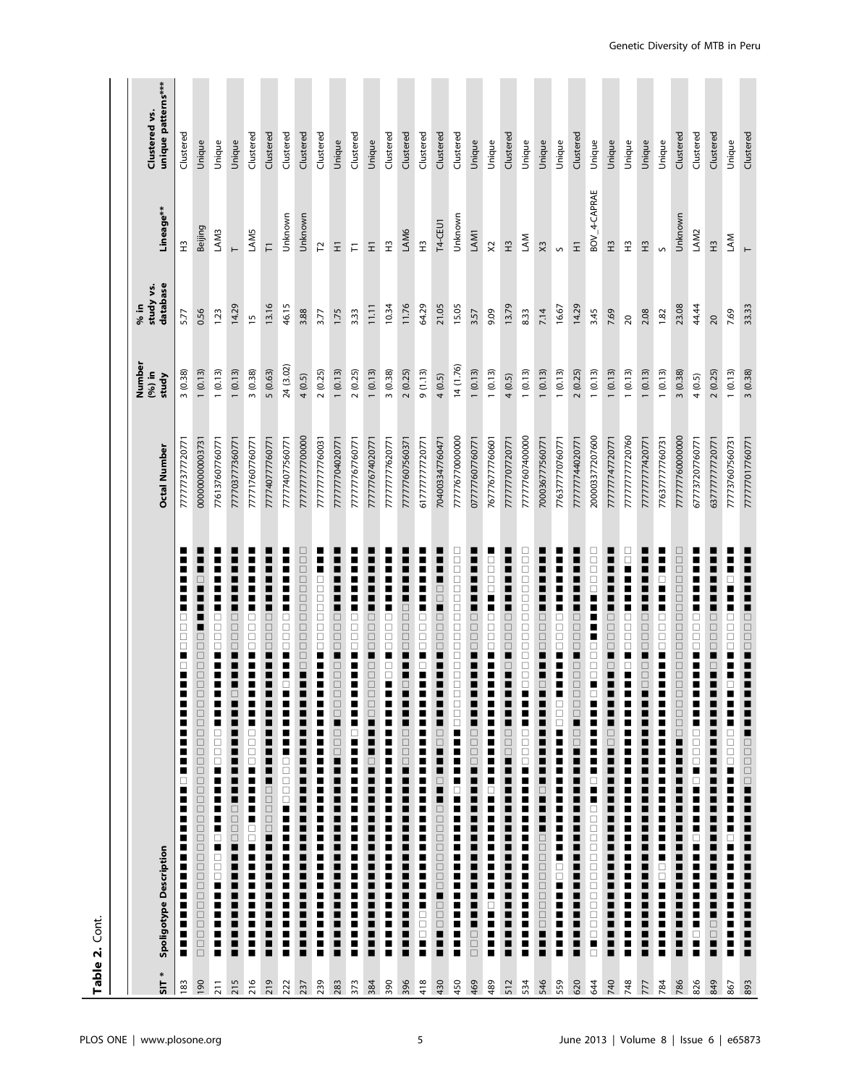|                              | Table 2. Cont.                                                                                                                                                                                                                                                                                                                                        |                     |                                    |                               |                          |                                     |
|------------------------------|-------------------------------------------------------------------------------------------------------------------------------------------------------------------------------------------------------------------------------------------------------------------------------------------------------------------------------------------------------|---------------------|------------------------------------|-------------------------------|--------------------------|-------------------------------------|
| $\overline{\phantom{a}}$ 115 | Spoligotype Description                                                                                                                                                                                                                                                                                                                               | <b>Octal Number</b> | Number<br>$(96)$ in<br>study       | database<br>study vs.<br>% in | Lineage**                | unique patterns***<br>Clustered vs. |
| 183                          | П<br>■<br>■<br>$\Box$<br>$\Box$<br>$\Box$<br>$\Box$<br>$\overline{\phantom{a}}$<br>$\ddot{\phantom{a}}$<br>п<br>Ξ<br>■<br>п<br>П<br>■<br>■<br>□<br>п<br>П<br>п<br>п<br>■<br>Ξ<br>Ξ<br>i<br>Ξ<br>∎<br>■<br>π<br>■<br>$\blacksquare$                                                                                                                    | 77777377720771      | 3(0.38)                            | 5.77                          | $\frac{1}{2}$            | Clustered                           |
| 190                          | $\Box$<br>00000<br>⊔<br>0000000000000000000000<br>00000<br>$\Box$                                                                                                                                                                                                                                                                                     | 000000000003731     | (0.13)                             | 0.56                          | Beijing                  | Unique                              |
| 211                          | п<br>п<br>■<br>------------<br>İ<br>П<br>$\blacksquare$                                                                                                                                                                                                                                                                                               | 776137607760771     | (0.13)<br>$\overline{a}$           | 1.23                          | LAM3                     | Unique                              |
| 215                          | ■<br>■<br>■<br>$\Box$<br>$\begin{array}{c} \square \\ \square \\ \square \end{array}$<br>$\frac{1}{2}$<br>■<br>=<br>=<br>=<br>П<br>$\blacksquare$<br>$\mathbf{r}$<br>■                                                                                                                                                                                | 777703777360771     | 1(0.13)                            | 14.29                         | $\vdash$                 | Unique                              |
| 216                          | ┋<br>$\overline{\phantom{a}}$<br><b>THEFT REPORT</b><br>E<br>$\blacksquare$                                                                                                                                                                                                                                                                           | 777717607760771     | 3(0.38)                            | $\overline{1}$                | LAM5                     | Clustered                           |
| 219                          | ■<br>$\Box$<br>$\begin{array}{c} \square \\ \square \end{array}$<br>$\Box$<br>i<br>=<br>=<br>=                                                                                                                                                                                                                                                        | 777740777760771     | 5(0.63)                            | 13.16                         | $\overline{r}$           | Clustered                           |
| 222                          | π<br>п<br>П<br>$\Box$<br>$\begin{array}{c} \square \\ \square \end{array}$<br>$\Box$<br>H<br>Ξ<br>□                                                                                                                                                                                                                                                   | 77774077560771      | 24 (3.02)                          | 46.15                         | Unknown                  | Clustered                           |
| 237                          | 00000000000000<br>H<br>-------<br>------                                                                                                                                                                                                                                                                                                              | 77777777700000      | 4 (0.5)                            | 3.88                          | Unknown                  | Clustered                           |
| 239                          | $\overline{a}$<br>$\Box$<br>0<br>0<br>0<br>$\begin{array}{c} \square \\ \square \end{array}$<br>$\Box$<br>E<br>H                                                                                                                                                                                                                                      | 777777777760031     | 2(0.25)                            | 3.77                          | 51                       | Clustered                           |
| 283                          | $\Box$<br>$\Box$<br>$\Box$<br>$\overline{\phantom{a}}$<br>$\begin{array}{c} \square \\ \square \end{array}$<br>000000<br>E                                                                                                                                                                                                                            | 777777704020771     | 1(0.13)                            | 1.75                          | Ξ                        | Unique                              |
| 373                          | $\Box$<br>$\begin{array}{c} \square \\ \square \end{array}$<br>$\Box$<br>i<br>H<br>i<br>$\overline{\phantom{a}}$<br>i                                                                                                                                                                                                                                 | 77777767760771      | (0.25)<br>$\sim$                   | 3.33                          | F                        | Clustered                           |
| 384                          | $\Box$<br>$\Box$<br>$\Box$<br>$\overline{\phantom{a}}$<br>$\begin{array}{c} \square \\ \square \end{array}$<br>$\Box$<br>$\Box$<br>П<br>Ξ<br>$\Box$<br>$\overline{\phantom{a}}$<br>ш<br>Ξ<br>П<br>■<br>ш<br>Ξ<br>▁<br>ш<br>Е<br>Ξ                                                                                                                     | 777777674020771     | 1(0.13)                            | 11.11                         | $\Xi$                    | Unique                              |
| 390                          | П<br>■<br>----------<br>--------<br>i                                                                                                                                                                                                                                                                                                                 | 77777777620771      | 3(0.38)                            | 10.34                         | $\tilde{\mathbf{r}}$     | Clustered                           |
| 396                          | ■<br>۳<br>■<br>$\begin{array}{c} \square \\ \square \end{array}$<br>io po<br><b>House</b>                                                                                                                                                                                                                                                             | 77777760756037      | 2(0.25)                            | 11.76                         | LAM6                     | Clustered                           |
| 418                          | $\overline{\phantom{a}}$<br><b>THE PERSON</b><br>H<br>■                                                                                                                                                                                                                                                                                               | 617777777720771     | 9(1.13)                            | 64.29                         | $\widetilde{\mathbb{E}}$ | Clustered                           |
| 430                          | $\Box$<br>$\Box$<br>п<br>$\Box$<br>$\begin{array}{c} \square \\ \square \end{array}$<br>$\square$<br>i<br>■ 00000000000 ■ 0 ■ 0 ■ 00100<br><b>DOWNER</b>                                                                                                                                                                                              | 704003347760471     | 4(0.5)                             | 21.05                         | T4-CEU1                  | Clustered                           |
| 450                          | 0000000000000000<br>$\blacksquare$                                                                                                                                                                                                                                                                                                                    | 777776770000000     | 14 (1.76)                          | 15.05                         | Unknown                  | Clustered                           |
| 469                          | $\overline{\phantom{a}}$<br>■<br>П<br>$\Box$<br>—<br>—<br>—<br>—<br>i                                                                                                                                                                                                                                                                                 | 07777607760771      | 1(0.13)                            | 3.57                          | LAM1                     | Unique                              |
| 489                          | 88888<br>∎                                                                                                                                                                                                                                                                                                                                            | 767776777760601     | (0.13)<br>$\overline{\phantom{0}}$ | 9.09                          | $\approx$                | Unique                              |
| 512                          | ∎<br>▊<br>$\Box$<br>$\Box$<br>$\square$<br>$\overline{\phantom{a}}$<br>$\overline{\phantom{a}}$<br>1000<br>■<br>$\overline{\phantom{a}}$<br>∎<br>i<br>■                                                                                                                                                                                               | 77777707720771      | (0.5)<br>4                         | 13.79                         | $\frac{13}{1}$           | Clustered                           |
| 534                          | $\Box$<br>$\Box$<br>□<br>$\Box$<br>$\Box$<br>$\Box$<br>$\begin{array}{c} \square \\ \square \end{array}$<br>0<br>0<br>0<br>0<br>$\begin{array}{c} \square \\ \square \end{array}$<br><b>-</b><br>0000<br>i<br>i<br>E                                                                                                                                  | 77777607400000      | (0.13)                             | 8.33                          | LAM                      | Unique                              |
| 546                          | 0000<br>п<br>Ξ<br>П<br>$\Box$<br>Ξ<br>$\overline{\phantom{a}}$<br>п<br>$\Box$<br>$\blacksquare$                                                                                                                                                                                                                                                       | 700036777560771     | (0.13)<br>$\overline{ }$           | 7.14                          | $\times$                 | Unique                              |
| 559                          | п<br>E<br>Е<br>П<br><b>OURNER</b>                                                                                                                                                                                                                                                                                                                     | 776377770760771     | 1(0.13)                            | 16.67                         | S                        | Unique                              |
| 620                          | E<br>$\overline{a}$<br>■<br>■<br>$\Box$<br>$\begin{array}{c} \square \\ \square \end{array}$<br>$\Box$<br>0000<br>$\Box$<br>$\Box$<br><b>DO</b><br><b>DO</b>                                                                                                                                                                                          | 777777744020771     | 2(0.25)                            | 14.29                         | Ξ                        | Clustered                           |
| 644                          | U 0 0 0 0 0<br>∎<br>■<br>∎<br>H<br>$\begin{array}{c} \square \\ \square \square \square \end{array}$<br>■<br>i<br>I<br>I<br>I<br>00000000000000000000000                                                                                                                                                                                              | 200003377207600     | (0.13)<br>$\overline{\phantom{0}}$ | 3.45                          | BOV_4-CAPRAE             | Unique                              |
| 740                          | $\Box$<br>$\Box$<br>$\Box$<br>$\overline{\phantom{a}}$<br>Ξ<br>■<br>Е<br>$\overline{a}$<br>i<br>■<br>π                                                                                                                                                                                                                                                | 77777747720771      | (0.13)<br>$\overline{\phantom{0}}$ | 7.69                          | $\widetilde{\pm}$        | Unique                              |
| 748                          | $\Box$<br>П<br>$\Box$<br>$\begin{array}{c} \square \\ \square \end{array}$<br>$\Box$<br>$\overline{\phantom{a}}$<br>П<br>п                                                                                                                                                                                                                            | 77777777720760      | (0.13)<br>$\overline{\phantom{0}}$ | 20                            | £                        | Unique                              |
| 777                          | π<br>■<br>$\Box$<br>$\begin{array}{c} \square \\ \square \end{array}$<br>$\Box$<br>$\begin{array}{c} \blacksquare \\ \square \end{array}$<br>$\begin{array}{c} \square \\ \square \end{array}$                                                                                                                                                        | 77777777420771      | 1(0.13)                            | 2.08                          | $\tilde{H}$              | Unique                              |
| 784                          | E<br>$\Box$<br>E<br>$\Box$<br>$\begin{array}{c} \square \\ \square \end{array}$<br>$\Box$<br>i                                                                                                                                                                                                                                                        | 776377777760731     | (0.13)<br>$\overline{\phantom{0}}$ | 1.82                          | S                        | Unique                              |
| 786                          | $\Box$<br>$\Box$<br>$\Box$<br>$\Box$<br>$\Box$<br>$\square$<br>$\Box$<br>$\begin{array}{c} \square \\ \square \end{array}$<br>$\Box$<br>$\begin{array}{c} \square \\ \square \end{array}$<br>$\begin{array}{c} \square \\ \square \end{array}$<br><b>OOOOOO</b><br>İ<br>■<br>----<br>----<br>■<br>$\overline{\phantom{a}}$<br>■<br>$\frac{1}{2}$<br>■ | 77777760000000      | 3(0.38)                            | 23.08                         | Unknown                  | Clustered                           |
| 826                          | ■<br>$\Box$<br>$\begin{array}{c} \square \\ \square \end{array}$<br>E<br>П<br>п<br>∎<br>I<br>E<br>π<br>i<br>E<br>Ξ<br>■<br>$\frac{1}{2}$                                                                                                                                                                                                              | 677737207760771     | (0.5)<br>4                         | 44.44                         | LAM2                     | Clustered                           |
| 849                          | $\Box$<br>$\begin{array}{c} \square \\ \square \end{array}$<br>$\Box$<br>П<br>$\Box$<br>■<br>■<br>$\overline{\phantom{a}}$<br>П<br>π<br>П<br>π<br>■<br>П<br>П<br>П<br>Ξ<br>■<br>$\begin{array}{c} \blacksquare \\ \square \\ \square \end{array}$                                                                                                     | 637777777720771     | 2(0.25)                            | 20                            | $\tilde{H}$              | Clustered                           |
| 867                          | □<br>■<br>■<br><b>----------</b><br>i                                                                                                                                                                                                                                                                                                                 | 777737607560731     | 1(0.13)                            | 7.69                          | LAM                      | Unique                              |
| 893                          | $\overline{a}$<br><b>-----------</b><br>___________________________________                                                                                                                                                                                                                                                                           | 777777017760771     | 3(0.38)                            | 33.33                         |                          | Clustered                           |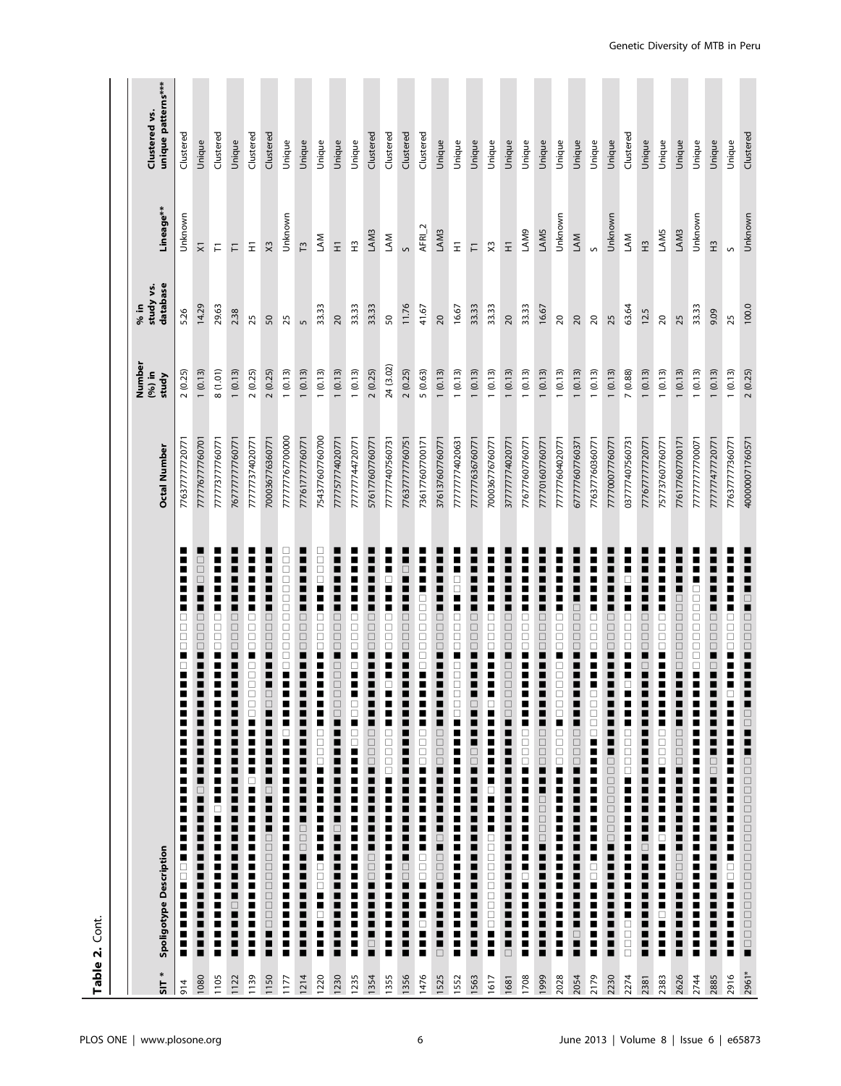|                               | Table 2. Cont.                                                                                                                                                                                                                                                                                                                                                                                                                                                                                                                                                        |                 |                                    |                               |                      |                                     |
|-------------------------------|-----------------------------------------------------------------------------------------------------------------------------------------------------------------------------------------------------------------------------------------------------------------------------------------------------------------------------------------------------------------------------------------------------------------------------------------------------------------------------------------------------------------------------------------------------------------------|-----------------|------------------------------------|-------------------------------|----------------------|-------------------------------------|
| $\overline{\phantom{a}}$ 5112 | Spoligotype Description                                                                                                                                                                                                                                                                                                                                                                                                                                                                                                                                               | Octal Number    | Number<br>$(96)$ in<br>study       | database<br>study vs.<br>% in | Lineage**            | unique patterns***<br>Clustered vs. |
| 914                           | ■<br>■<br>■<br>$\Box$<br>$\Box$<br>$\Box$<br>$\Box$<br>п<br>$\Box$<br>■<br>п<br>■<br>▉<br>■<br>П<br>■<br>■<br>■<br>Е<br>п<br>■<br>■<br>■<br>$\overline{a}$<br>$\Box$<br>П<br>Ξ<br>π<br>$\overline{\phantom{a}}$<br>∎<br>٠<br>П                                                                                                                                                                                                                                                                                                                                        | 776377777720771 | 2(0.25)                            | 5.26                          | Unknown              | Clustered                           |
| 1080                          | □<br>$\Box$<br>П<br>$\Box$<br>$\begin{array}{c} \square \\ \square \end{array}$<br>$\Box$<br>П<br>$\Box$<br>E<br>П<br>Г<br>$\overline{\phantom{a}}$<br>П<br>Г<br>□<br>п                                                                                                                                                                                                                                                                                                                                                                                               | 777776777760701 | 1(0.13)                            | 14.29                         | $\bar{\times}$       | Unique                              |
| 1105                          | <b>DODDDDDDDDDDD</b><br>п<br>■<br>■<br>Е<br>I<br>П<br>=<br>=<br>=<br>П<br>i                                                                                                                                                                                                                                                                                                                                                                                                                                                                                           | 77773777760771  | 8(1.01)                            | 29.63                         | $\overline{\vdash}$  | Clustered                           |
| 1122                          | П<br>$\Box$<br>—<br>—<br>—<br>—<br>$\ddot{}}$<br>■<br>■<br>■<br>$\overline{\phantom{a}}$<br>E<br>-----<br>----<br>---------<br>-------<br>$\Box$<br>=<br>=<br>=                                                                                                                                                                                                                                                                                                                                                                                                       | 767777777760771 | 1(0.13)                            | 2.38                          | F                    | Unique                              |
| 1139                          | ■<br>10000000<br>□<br><b>Property</b><br>i<br>Ē                                                                                                                                                                                                                                                                                                                                                                                                                                                                                                                       | 777777374020771 | 2(0.25)                            | 25                            | $\Xi$                | Clustered                           |
| 1150                          | $\Box$<br>$\Box$<br>$\Box$<br>$\Box$<br>Η<br>E<br>⊔<br>$\Box$<br>Η<br>$\mathbf{r}$<br>H<br>$\Box$<br>i<br>Do D<br>$\begin{array}{c} \square \\ \square \end{array}$<br>$\Box$<br><b>HOME</b>                                                                                                                                                                                                                                                                                                                                                                          | 700036776360771 | 2(0.25)                            | 50                            | $\times$             | Clustered                           |
| 1177                          | $\Box$<br>$\Box$<br>□<br>□<br>$\Box$<br>$\Box$<br>$\begin{array}{c} \square \\ \square \end{array}$<br>$\Box$<br>$\begin{array}{c} \square \\ \square \end{array}$<br>Ξ<br>■<br>П<br>H<br>i                                                                                                                                                                                                                                                                                                                                                                           | 77777767700000  | 1(0.13)                            | 25                            | Unknown              | Unique                              |
| 1214                          | ■<br>▉<br>i<br>Dood<br>$\overline{\phantom{a}}$<br>Ξ<br>■<br>П<br>$\overline{1}$<br><u>,,,,,,,,,,,,,,,</u><br>∎<br>=<br>=<br>=                                                                                                                                                                                                                                                                                                                                                                                                                                        | 777617777760771 | (0.13)<br>$\overline{a}$           | $\sqrt{2}$                    | $\overline{13}$      | Unique                              |
| 1220                          | □<br>Ċ<br>$\Box$<br>$\begin{array}{c} \square \\ \square \end{array}$<br>$\Box$<br>H<br>E<br>▋▋▊▊▊▊▊▊▋▋▋▋▋▋▋▋▋▋▋▊▊▊▊▊▊▊▊▊▋▊▋                                                                                                                                                                                                                                                                                                                                                                                                                                          | 754377607760700 | 1(0.13)                            | 33.33                         | LAM                  | Unique                              |
| 1230                          | $\Box$<br>$\Box$<br>$\Box$<br>$\overline{a}$<br>$\Box$<br>$\Box$<br>$\Box$<br><b>______</b><br>--------<br>------<br>----<br>--                                                                                                                                                                                                                                                                                                                                                                                                                                       | 777757774020771 | 1(0.13)                            | $\overline{c}$                | $\bar{z}$            | Unique                              |
| 1235                          | $\Box$<br>$\begin{array}{c} \square \\ \square \end{array}$<br>$\Box$<br>$\overline{\phantom{a}}$<br>■<br>a,<br>□<br>$\Box$<br>i                                                                                                                                                                                                                                                                                                                                                                                                                                      | 77777744720771  | 1(0.13)                            | 33.33                         | $\tilde{\mathbf{r}}$ | Unique                              |
| 1354                          | $\Box$<br>$\Box$<br>$\Box$<br>■<br>■<br>$\Box$<br>0<br>0<br>0<br>$\overline{\phantom{a}}$<br>▁<br>$\begin{array}{c} \square \\ \square \\ \square \end{array}$<br>H<br>E<br>1<br>1<br>1                                                                                                                                                                                                                                                                                                                                                                               | 576177607760771 | 2(0.25)                            | 33.33                         | LAM3                 | Clustered                           |
| 1355                          | □                                                                                                                                                                                                                                                                                                                                                                                                                                                                                                                                                                     | 777777407560731 | 24 (3.02)                          | 50                            | LAM                  | Clustered                           |
| 1356                          | ■<br>$\begin{array}{c} \square \\ \square \\ \square \end{array}$<br>$\ddot{}}$<br>------<br>-----                                                                                                                                                                                                                                                                                                                                                                                                                                                                    | 776377777760751 | 2(0.25)                            | 11.76                         | $\circ$              | Clustered                           |
| 1476                          | $\Box$<br><b>PERSONAL</b><br>Ē                                                                                                                                                                                                                                                                                                                                                                                                                                                                                                                                        | 736177607700171 | 5(0.63)                            | 41.67                         | $AFRI_2$             | Clustered                           |
| 1525                          | $\Box$<br>000<br>H<br>п<br>■                                                                                                                                                                                                                                                                                                                                                                                                                                                                                                                                          | 376137607760771 | 1(0.13)                            | $\overline{5}$                | LAM3                 | Unique                              |
| 1552                          | $\blacksquare$<br>$\Box$<br>ō<br>$\overline{a}$<br>Ō<br><b>_______</b><br>i                                                                                                                                                                                                                                                                                                                                                                                                                                                                                           | 777777774020631 | (0.13)<br>$\overline{\phantom{0}}$ | 16.67                         | Ξ                    | Unique                              |
| 1563                          | 0000<br>$\overline{\phantom{a}}$<br>H<br>□                                                                                                                                                                                                                                                                                                                                                                                                                                                                                                                            | 777777636760771 | (0.13)<br>$\overline{\phantom{0}}$ | 33.33                         | F                    | Unique                              |
| 1617                          | $\overline{\phantom{a}}$                                                                                                                                                                                                                                                                                                                                                                                                                                                                                                                                              | 700036776760771 | (0.13)                             | 33.33                         | X3                   | Unique                              |
| 1681                          | $\Box$<br>$\begin{array}{c} \square \\ \square \end{array}$<br>$\Box$<br>$\overline{a}$<br>$\Box$<br>$\Box$<br>$\Box$<br>$\Box$<br>■<br>$\mathbf{r}$<br>$\overline{\phantom{a}}$<br>------------<br>---------<br> <br> <br>                                                                                                                                                                                                                                                                                                                                           | 377777774020771 | (0.13)                             | 20                            | $\overline{z}$       | Unique                              |
| 1708                          | □<br>$\begin{array}{c} \square \\ \square \end{array}$<br>▘<br>ш<br>■<br>$\overline{\phantom{a}}$<br>i                                                                                                                                                                                                                                                                                                                                                                                                                                                                | 776777607760771 | (0.13)                             | 33.33                         | LAM9                 | Unique                              |
| 1999                          | 0000<br>П<br>■<br>■<br>0000<br>$\frac{1}{2}$<br><b>THEFFICIAL</b><br>Ξ<br>Ξ<br>H<br>п                                                                                                                                                                                                                                                                                                                                                                                                                                                                                 | 777701607760771 | (0.13)<br>$\overline{ }$           | 16.67                         | LAM5                 | Unique                              |
| 2028                          | ⊔                                                                                                                                                                                                                                                                                                                                                                                                                                                                                                                                                                     | 777777604020771 | 1(0.13)                            | $\overline{20}$               | Unknown              | Unique                              |
| 2054                          | $\Box$<br>Ō<br>O<br>O<br>O<br>$\overline{\phantom{a}}$<br>$\overline{\phantom{a}}$<br>Г<br><b>------</b><br>$\Box$<br>-----<br>----                                                                                                                                                                                                                                                                                                                                                                                                                                   | 677777607760371 | 1(0.13)                            | $\overline{c}$                | LAM                  | Unique                              |
| 2179                          | 0000<br>π<br>E<br>H<br><b>OOOOOOO</b><br>_______________                                                                                                                                                                                                                                                                                                                                                                                                                                                                                                              | 776377760360771 | 1(0.13)                            | $\overline{c}$                | S                    | Unique                              |
| 2230                          | $\Box$<br>0000<br>■<br>■<br>ш<br>П<br>Ξ<br>ц<br>$\begin{tabular}{c} \multicolumn{1}{c}{\textbf{1}}\\ \multicolumn{1}{c}{\textbf{1}}\\ \multicolumn{1}{c}{\textbf{2}}\\ \multicolumn{1}{c}{\textbf{3}}\\ \multicolumn{1}{c}{\textbf{4}}\\ \multicolumn{1}{c}{\textbf{5}}\\ \multicolumn{1}{c}{\textbf{6}}\\ \multicolumn{1}{c}{\textbf{7}}\\ \multicolumn{1}{c}{\textbf{8}}\\ \multicolumn{1}{c}{\textbf{9}}\\ \multicolumn{1}{c}{\textbf{1}}\\ \multicolumn{1}{c}{\textbf{1}}\\ \multicolumn{1}{c}{\textbf{1}}\\ \multicolumn$<br>$\overline{1}$<br>E<br>----<br>---- | 777700077760771 | 1(0.13)                            | 25                            | Unknown              | Unique                              |
| 2274                          | $\Box$<br>$\begin{array}{c} \square \\ \square \end{array}$<br>$\Box$<br>H<br>П<br>□<br>i<br>:<br>:<br>00000                                                                                                                                                                                                                                                                                                                                                                                                                                                          | 037777407560731 | 7(0.88)                            | 63.64                         | LAM                  | Clustered                           |
| 2381                          | ■<br>$\Box$<br>$\Box$<br>$\Box$<br>$\overline{a}$<br>$\blacksquare$                                                                                                                                                                                                                                                                                                                                                                                                                                                                                                   | 777677777720771 | 1(0.13)                            | 12.5                          | $\tilde{H}$          | Unique                              |
| 2383                          | ■<br>$\Box$<br>$\begin{array}{c} \square \\ \square \end{array}$<br>$\Box$<br>H<br>H                                                                                                                                                                                                                                                                                                                                                                                                                                                                                  | 757737607760771 | (0.13)                             | $\approx$                     | LAM5                 | Unique                              |
| 2626                          | $\Box$<br>$\Box$<br>$\Box$<br>$\begin{array}{c} \square \\ \square \end{array}$<br>$\Box$<br>$\begin{array}{c} \square \\ \square \end{array}$<br>0000<br>$\overline{\phantom{a}}$<br>$\ddot{\phantom{a}}$<br>■<br><b>OOOOO</b><br>--<br>--<br>-                                                                                                                                                                                                                                                                                                                      | 776177607700171 | (0.13)                             | 25                            | LAM3                 | Unique                              |
| 2744                          | 00000000<br>П<br>■<br>П<br>I<br>■<br>I<br>i<br>П<br>Е<br>i<br>Г<br>Ľ<br>i                                                                                                                                                                                                                                                                                                                                                                                                                                                                                             | 77777777700071  | (0.13)                             | 33.33                         | Unknown              | Unique                              |
| 2885                          | $\Box$<br>$\Box$<br>$\Box$<br>Ξ<br>$\Box$<br>$\overline{a}$<br>П<br>$\overline{\phantom{a}}$<br>П<br>Ξ<br>П                                                                                                                                                                                                                                                                                                                                                                                                                                                           | 777777477720771 | (0.13)<br>$\overline{\phantom{0}}$ | 9.09                          | $\tilde{H}$          | Unique                              |
| 2916                          | ■<br>■<br>■                                                                                                                                                                                                                                                                                                                                                                                                                                                                                                                                                           | 776377777360771 | 1(0.13)                            | 25                            | S                    | Unique                              |
| 2961*                         |                                                                                                                                                                                                                                                                                                                                                                                                                                                                                                                                                                       | 400000071760571 | 2(0.25)                            | 100.0                         | Unknown              | Clustered                           |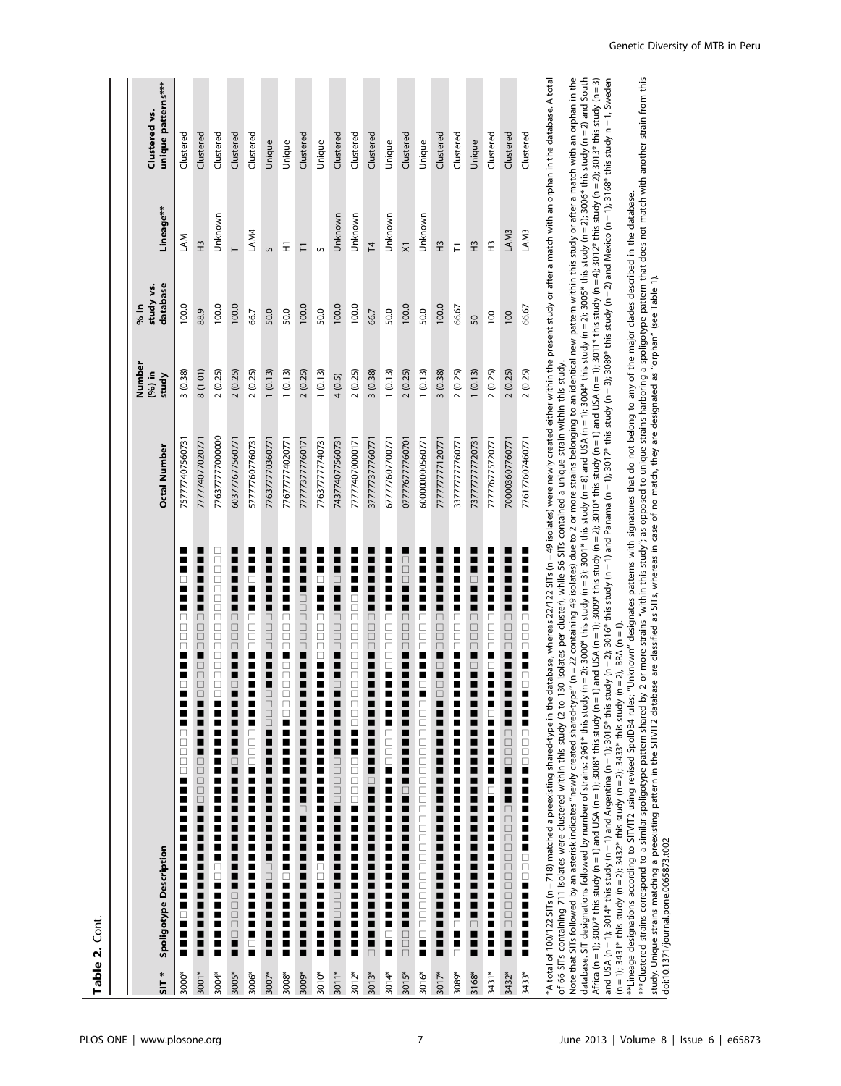| $517*$  | Spoligotype Description                                                                                                                                                                                                                                                                                                                                                                                                                                                            | <b>Octal Number</b> | Number<br>$(96)$ in<br>study | database<br>study vs.<br>% in | Lineage**           | unique patterns***<br>Clustered vs. |
|---------|------------------------------------------------------------------------------------------------------------------------------------------------------------------------------------------------------------------------------------------------------------------------------------------------------------------------------------------------------------------------------------------------------------------------------------------------------------------------------------|---------------------|------------------------------|-------------------------------|---------------------|-------------------------------------|
| 3000*   | ٠<br>□<br>□<br>□<br>□<br>п<br>■<br>□<br>■<br>■<br>□<br>$\Box$<br>□<br>$\Box$<br>$\Box$<br>П<br>■<br>ш<br>■<br>■<br>■<br>■<br>■<br>п<br>■<br>■<br>■<br>■                                                                                                                                                                                                                                                                                                                            | 757777407560731     | 3(0.38)                      | 100.0                         | <b>NN</b>           | Clustered                           |
| 3001*   | ∎<br>0000<br>■<br>$\Box$<br>$\Box$<br>$\Box$<br>■<br>П<br>Ξ<br>■<br>00000<br>$\Box$<br>π<br>ī<br>■<br>E<br>∎<br>■<br>۸<br>■<br>È                                                                                                                                                                                                                                                                                                                                                   | 777774077020771     | 8(1.01)                      | 88.9                          | $\tilde{H}$         | Clustered                           |
| 3004*   | □<br>□<br>ō<br>ō<br>$\Box$<br>$\Box$<br>$\Box$<br>$\Box$<br>Ē<br>□<br>$\Box$<br>ō<br>$\Box$<br>$\Box$<br>п<br>■<br>П<br>■<br>п<br>Π<br>■<br>■<br>П<br>■<br>■<br>□<br>□<br>■<br>П<br>■<br>ш<br>Π<br>п<br>■                                                                                                                                                                                                                                                                          | 776377777000000     | 2(0.25)                      | 100.0                         | Unknown             | Clustered                           |
| 3005*   | ■<br>■<br>■<br>■<br>П<br>$\Box$<br>$\Box$<br>$\Box$<br>$\Box$<br>■<br>П<br>∎<br>□<br>ш<br>П<br>П<br>■<br>П<br>$\Box$<br>■<br>$\overline{\phantom{a}}$<br>■<br>■<br>■<br>■<br>■<br>П<br>■<br>■<br>■<br>■<br>$\Box$<br>$\Box$<br>000<br>■<br>■                                                                                                                                                                                                                                       | 603777677560771     | 2(0.25)                      | 100.0                         | $\vdash$            | Clustered                           |
| 3006*   | ■<br>■<br>□<br>п<br>■<br>П<br>$\Box$<br>ō<br>$\begin{array}{c} \square \\ \square \end{array}$<br>■<br>■<br>■<br>■<br>Г<br>$\Box$<br><b>DDD</b><br>П<br>i<br>■<br>П<br>■<br>■<br>■<br>П<br>■<br>П<br>П<br>■<br>Г<br>П<br>■<br>ш<br>П<br>$\Box$<br>П                                                                                                                                                                                                                                | 577777607760731     | 2(0.25)                      | 66.7                          | LAM4                | Clustered                           |
| 3007*   | Ē<br>Е<br>Г<br>$\Box$<br>日口口<br>Ξ<br>Ē<br>Е<br>$\Xi$<br>Ō<br>Е<br>■<br>Е<br>п<br>Г<br>E<br>■<br>H<br>Е<br>Ē<br>П<br>$\Box$<br>π<br>E<br>■<br>П<br>ī<br>ī<br>■                                                                                                                                                                                                                                                                                                                      | 776377770360771     | 1(0.13)                      | 50.0                          | S                   | Unique                              |
| 3008*   | ■<br>■<br>П<br>$\Box$<br>$\Box$<br>$\Box$<br>□<br>П<br>$\Box$<br>□<br>$\Box$<br>日<br>ロ<br>$\Box$<br>H<br>■<br>π<br>Ξ<br>E<br>Ē<br>■<br>E<br>П<br>Ē<br>п<br>$\overline{a}$<br>П<br>Ē<br>■<br>ø<br>ī<br>Ē                                                                                                                                                                                                                                                                            | 776777774020771     | 1(0.13)                      | 50.0                          | Ξ                   | Unique                              |
| 3009*   | ■<br>$\Box$<br>0000<br>$\begin{array}{c} \square \\ \square \end{array}$<br>■<br>∎<br>۸<br>■<br>■<br>■<br>■<br>■<br>П<br>$\Box$<br>п<br>■<br>■<br>■<br>П<br>■<br>■<br>■<br>■<br>■                                                                                                                                                                                                                                                                                                  | 777773777760171     | 2(0.25)                      | 100.0                         | Ε                   | Clustered                           |
| 3010*   | $\Box$<br>■<br>■<br>π<br>$\Box$<br><b>DODD</b><br>$\Box$<br>■<br>۰<br>■<br>■<br>■<br>■<br>п<br>П<br>■<br>■<br>■<br>■<br>П<br>п<br>■<br>$\begin{array}{c} \square \\ \square \end{array}$<br>■<br>п<br>п<br>■<br>■<br>П<br>п<br>■                                                                                                                                                                                                                                                   | 776377777740731     | 1(0.13)                      | 50.0                          | S                   | Unique                              |
| $3011*$ | $\Box$<br>■<br>■<br>Г<br>$\Box$<br>$\Box$<br>$\Box$<br>$\Box$<br>■<br>∎<br>■<br>$\Box$<br>▆<br>■<br>■<br>■<br>■<br>$\Box$<br>$\Box$<br>$\Box$<br>$\Box$<br>П<br>ī<br>■<br>■<br>π<br>■<br>■<br>■<br>■<br>$\Box$<br>□<br>$\Box$<br>■<br>■<br>π<br>■                                                                                                                                                                                                                                  | 743774077560731     | 4 (0.5)                      | 100.0                         | Unknown             | Clustered                           |
| 3012*   | П<br>$\Box$<br>0000000000<br>π<br>10<br>00<br>$\Box$<br>$\Box$<br>Ξ<br>ī<br>■<br>■<br>π<br>■<br>■<br>∎<br>■<br>■<br>П<br>■<br>■<br>п<br>п                                                                                                                                                                                                                                                                                                                                          | 777774070000171     | 2(0.25)                      | 100.0                         | Unknown             | Clustered                           |
| 3013*   | Е<br>П<br>$\Box$<br>000<br>П<br>П<br>П<br>П<br>П<br>Е<br>П<br>E<br>$\Box$<br>п<br>■<br>П<br>Е<br>Е<br>E<br>Е<br>Η<br>Е<br>П<br>Е<br>$\overline{a}$                                                                                                                                                                                                                                                                                                                                 | 377777377760771     | 3(0.38)                      | 66.7                          | $\overline{1}$      | Clustered                           |
| 3014*   | ■<br>■<br>■<br>■<br>П<br>П<br>□<br>$\Box$<br>$\Box$<br>$\Box$<br>$\Box$<br>$\Box$<br>П<br>П<br>ш<br>П<br>□<br>$\Box$<br>$\Box$<br>$\Box$<br>п<br>H<br>■<br>П<br>Ē<br>■<br>П<br>П<br>■<br>П<br>П<br>■<br>П<br>П<br>■<br>П<br>□<br>п<br>п                                                                                                                                                                                                                                            | 677777607700771     | 1(0.13)                      | 50.0                          | Unknown             | Unique                              |
| 3015*   | ■<br>ō<br>$\Box$<br>ō<br>П<br>■<br>■<br>$\Box$<br>000<br>■<br>■<br>■<br>π<br>П<br>■<br>п<br>П<br>∎<br>$\overline{a}$<br>■<br>H<br>■<br>п<br>Ξ<br>■<br>H<br>■<br>H<br>П<br>$\overline{a}$<br>$\begin{array}{c} \square \\ \square \end{array}$                                                                                                                                                                                                                                      | 077776777760701     | 2(0.25)                      | 100.0                         | $\overline{\times}$ | Clustered                           |
| 3016*   | ▉<br>□<br>$\Box$<br>$\Box$<br>$\Box$<br>■<br>▉<br>□<br>□<br>$\Box$<br>$\Box$<br>$\Box$<br>$\Box$<br>$\Box$<br>$\Box$<br>$\Box$<br>$\Box$<br>□<br>$\Box$<br>$\begin{array}{c} \square \\ \square \end{array}$<br>$\begin{array}{c} \square \\ \square \end{array}$<br>$\Box$<br>$\Box$<br>$\begin{array}{c} \square \\ \square \end{array}$<br>$\begin{array}{c} \square \\ \square \end{array}$<br>$\Box$<br>$\begin{array}{c} \square \\ \square \end{array}$<br>$\Box$<br>П<br>■ | 600000000560771     | 1(0.13)                      | 50.0                          | Unknown             | Unique                              |
| 3017*   | ∎<br>∎<br>$\Box$<br>Ō<br>$\Box$<br>$\Box$<br>■<br>$\Box$<br>■<br>П<br>Ξ<br>■<br>■<br>∎<br>$\overline{\phantom{a}}$<br>■<br>■<br>Ξ<br>∎<br>H<br>■<br>∎<br>Ξ<br>∎<br>$\overline{\phantom{a}}$<br>■<br>■<br>Ξ<br>Ξ<br>■                                                                                                                                                                                                                                                               | 777777777120771     | 3(0.38)                      | 100.0                         | $\tilde{H}$         | Clustered                           |
| 3089*   | ш<br>П<br>П<br>□<br>$\Box$<br>□<br>□<br>■<br>■<br>П<br>Π<br>п<br>■<br>■<br>H<br>■<br>■<br>П<br>■<br>П<br>П<br>■<br>■<br>■<br>■<br>П<br>П<br>■<br>□<br>П<br>П<br>□                                                                                                                                                                                                                                                                                                                  | 337777777760771     | 2(0.25)                      | 66.67                         | F                   | Clustered                           |
| 3168*   | ō<br>П<br>Е<br>П<br>ō<br>000<br>Е<br>$\Box$<br>■<br>∎<br>П<br>П<br>Е<br>$\overline{\phantom{a}}$<br>Е<br>П<br>П<br>Е<br>$\overline{\phantom{a}}$<br>Е<br>П<br>П<br>Е<br>H<br>$\overline{\phantom{a}}$<br>Ξ<br>Ξ<br>■                                                                                                                                                                                                                                                               | 737777777720731     | 1(0.13)                      | 50                            | $\tilde{H}$         | Unique                              |
| 3431*   | ш<br>■<br>$\Box$<br>$\begin{array}{c} \square \\ \square \end{array}$<br>$\Box$<br>■<br>□<br>■<br>П<br>Ξ<br>П<br>■<br>П<br>П<br>■<br>$\overline{\phantom{a}}$<br>■<br>п<br>П<br>п<br>Ē<br>■<br>П<br>π<br>п<br>H<br>■<br>П<br>П<br>π<br>П                                                                                                                                                                                                                                           | 777776775720771     | 2(0.25)                      | 100                           | Ê                   | Clustered                           |
| 3432*   | ■<br>Е<br>■<br>■<br>$\Box$<br>$\Box$<br>$\Box$<br>$\Box$<br>H<br>Ē<br>Ė<br>$\Box$<br>$\Box$<br>$\Box$<br>П<br>Ē<br>П<br>$\Box$<br>$\begin{array}{c} \square \\ \square \end{array}$<br>$\Box$<br>$\Box$<br>$\Box$<br>$\Box$<br>$\Box$<br>$\Box$<br>$\Box$<br>E<br>π                                                                                                                                                                                                                | 700003607760771     | 2(0.25)                      | 100                           | LAM3                | Clustered                           |
| 3433*   | ■<br>π<br>П<br>H<br><b>----------</b><br>$\Box$<br>п<br>П<br>П<br>$\Box$<br><b>DOD</b><br>i i i i i<br>H<br>Ξ<br><b>DO0</b><br>E<br>$\blacksquare$<br>E<br>Ξ<br>п<br>п                                                                                                                                                                                                                                                                                                             | 776177607460771     | 2(0.25)                      | 66.67                         | LAM3                | Clustered                           |
|         | *A total of 100/122 SITs (n = 718) matched a preexisting shared-type in the database, whereas 22/122 SITs (n = 49 isolates) were newly created either within the present study or after a match with an orphan in the databas                                                                                                                                                                                                                                                      |                     |                              |                               |                     |                                     |

of 66 SITs containing 711 isolates were clustered within this study (2 to 130 isolates per cluster), while 56 SITs contained a unique strain within this study. of 66 SITs containing 711 isolates were clustered within this study (2 to 130 isolates per cluster), while 56 SITs contained a unique strain within this study.

Africa (n = 1); 3007\* this study (n = 1); 3008\* this study (n = 1); and USA (n = 1); 3009\* this study (n = 1); 3011\* this study (n = 4); 3012\* this study (n = 2); 3013\* this study (n = 1); 308\* this study (n = 1); 3014\* th Note that SITs followed by an asterisk indicates "newly created shared-type" (n=22 containing 49 isolates) due to 2 or more strains belonging to an identical new pattern within this study or after a match with an orphan in database. SIT designations followed by number of strains: 2961\* this study (n = 2); 3000\* this study (n = 2); 3001\* this study (n = 2); 3001\* this study in = 2); 3003\* \*bis study (n = 2); 3005\* this study (n = 2); 3005\* t Note that SITs followed by an asterisk indicates "newly created shared-type" (n=22 containing 49 isolates) due to 2 or more strains belonging to an identical new pattern within this study or after a match with an orphan i database. SIT designations followed by number of strains: 2961\* this study (n = 2); 3000\* this study (n = 2); 3004\* his study (n = 2); 3005\* this study (n = 2); 3005\* this study (n = 2); 3006\* this study (n = 2); 3005\* th Africa (n = 1); 3007\* this study (n = 1); 3008\* this study (n = 1) and USA (n = 1); 3009\* this study (n = 1); 3011\* this study (n = 1); 3011\* this study (n = 1); 3013\* this study (n = 3); 3013\* this study (n = 1); 3011\* th and USA (n = 1); 3014\* this study (n = 1); 3015\* this study (n = 2); 3016\* this study (n = 1); and Panama (n = 1); 3017\* this study (n = 2); 3008\* this study (n = 2); and Mexico (n = 1); 3168\* this study n = 1, Sweden  $(n = 1)$ ; 3431\* this study  $(n = 2)$ ; 3432\* this study  $(n = 2)$ ; 3433\* this study  $(n = 2)$ , BRA  $(n = 1)$ . (n = 1); 3431\* this study (n = 2); 3432\* this study (n = 2); 3433\* this study (n = 2), BRA (n = 1).

(n = 1); 3431\* this study (n = 2); 3432\* this study (n = 2); 3433\* this study (n = 2); BRA (n = 1).<br>\*\*lineage designations according to SITVIT2 using revised SpoIDB4 rules; "Unknown" designates patterns with ago<br>study. Uni \*\*\*Clustered strains correspond to a similar spoligotype pattern shared by 2 or more strains "within this study"; as opposed to unique strains harboring a spoligotype pattern that does not match with another strain from th \*\*Lineage designations according to SITVIT2 using revised SpolDB4 rules; ''Unknown'' designates patterns with signatures that do not belong to any of the major clades described in the database.

study. Unique strains matching a preexisting pattern in the SITVIT2 database are classified as SITs, whereas in case of no match, they are designated as ''orphan'' (see Table 1).

Genetic Diversity of MTB in Peru

Table 2. Cont.

Table 2. Cont.

doi:10.1371/journal.pone.0065873.t002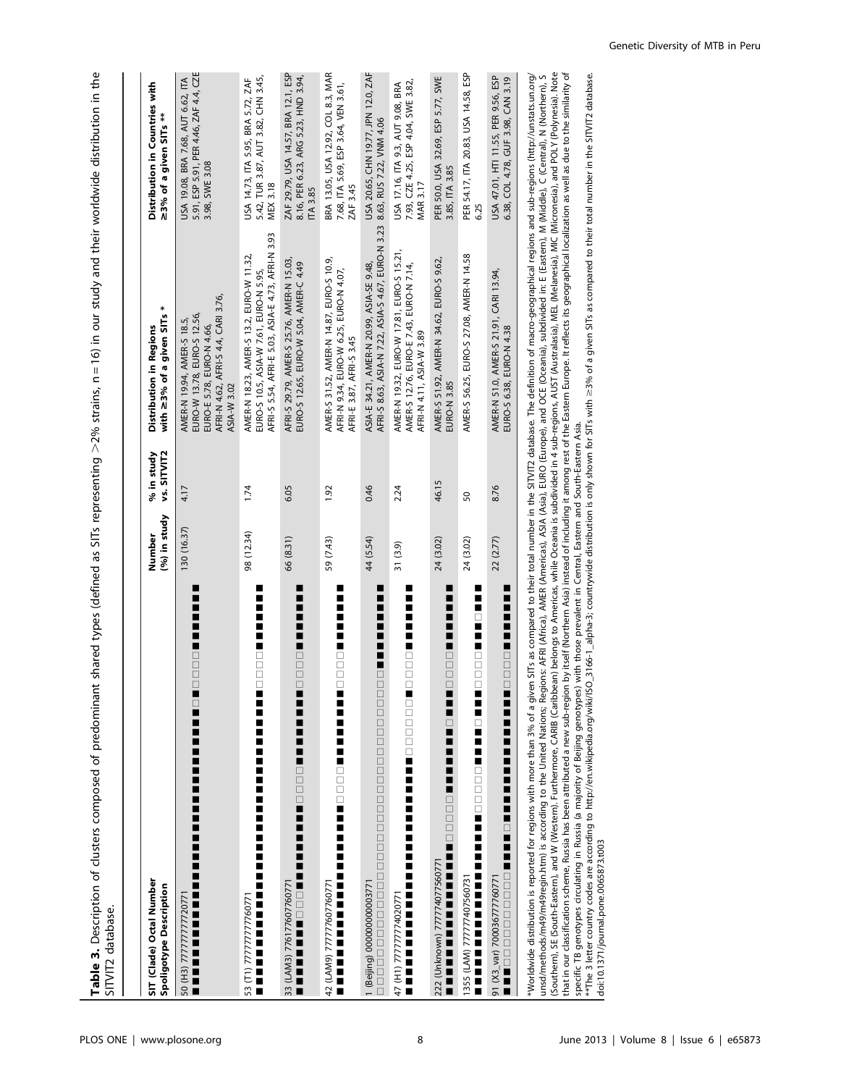Table 3. Description of clusters composed of predominant shared types (defined as SITs representing >2% strains, n=16) in our study and their worldwide distribution in the  $>$ 2% strains,  $n = 16$ ) in our study and their worldwide distribution in the Table 3. Description of clusters composed of predominant shared types (defined as SITs representing SITVIT2 database. SITVIT2 database.

| SIT (Clade) Octal Number<br>Spoligotype Description                                                                                                                                                                           | (%) in study<br>Number | vs. SITVIT2<br>% in study | *<br>with ≥3% of a given SITs<br><b>Distribution in Regions</b>                                                                              | Distribution in Countries with<br>≥3% of a given SITs **                                       |
|-------------------------------------------------------------------------------------------------------------------------------------------------------------------------------------------------------------------------------|------------------------|---------------------------|----------------------------------------------------------------------------------------------------------------------------------------------|------------------------------------------------------------------------------------------------|
| <br> <br> <br>------<br>-----<br>İ<br>∎<br>--------------<br>-----------<br>50 (H3) 7777777772077                                                                                                                             | 130 (16.37)            | 4.17                      | AFRI-N 4.62, AFRI-S 4.4, CARI 3.76,<br>EURO-W 13.78, EURO-S 12.56,<br>AMER-N 19.94, AMER-S 18.5,<br>EURO-E 5.78, EURO-N 4.66,<br>ASIA-W 3.02 | 5.91, ESP 5.91, PER 4.46, ZAF 4.4, CZE<br>USA 19.08, BRA 7.68, AUT 6.62, ITA<br>3.98, SWE 3.08 |
| ō<br> <br> <br> <br> <br>∎<br>۳<br>-------------<br>-<br>53 (T1) 777777777760771                                                                                                                                              | 98 (12.34)             | 1.74                      | AFRI-S 5.54, AFRI-E 5.03, ASIA-E 4.73, AFRI-N 3.93<br>AMER-N 18.23, AMER-S 13.2, EURO-W 11.32,<br>EURO-S 10.5, ASIA-W 7.61, EURO-N 5.95,     | 5.42, TUR 3.87, AUT 3.82, CHN 3.45,<br>USA 14.73, ITA 5.95, BRA 5.72, ZAF<br><b>MEX 3.18</b>   |
| i<br>$\overline{ }$<br>00000<br>▐▋▊▊▁▁▁▁▋▋▋▋▋▋▋<br>33 (LAM3) 776177607760771                                                                                                                                                  | 66 (8.31)              | 6.05                      | AFRI-S 29.79, AMER-S 25.76, AMER-N 15.03,<br>EURO-S 12.65, EURO-W 5.04, AMER-C 4.49                                                          | ZAF 29.79, USA 14.57, BRA 12.1, ESP<br>8.16, PER 6.23, ARG 5.23, HND 3.94,<br>TA 3.85          |
| İ<br>Ē<br>Ē<br>0000<br>Ē<br>,,,,,,,,,,,,,,,<br>42 (LAM9) 777777607760771                                                                                                                                                      | 59 (7.43)              | 1.92                      | AMER-S 31.52, AMER-N 14.87, EURO-S 10.9,<br>AFRI-N 9.34, EURO-W 6.25, EURO-N 4.07,<br>AFRI-E 3.87, AFRI-S 3.45                               | BRA 13.05, USA 12.92, COL 8.3, MAR<br>7.68, ITA 5.69, ESP 3.64, VEN 3.61,<br>ZAF 3.45          |
| ■<br>∎<br>∎<br>$\overline{\phantom{a}}$<br>۳<br><b>-----</b><br>1 (Beijing) 00000000003771                                                                                                                                    | 44 (5.54)              | 0.46                      | AFRI-S 8.63, ASIA-N 7.22, ASIA-S 4.67, EURO-N 3.23<br>ASIA-E 34.21, AMER-N 20.99, ASIA-SE 9.48,                                              | USA 20.65, CHN 19.77, JPN 12.0, ZAF<br>8.63, RUS 7.22, VNM 4.06                                |
| i<br>$\overline{\phantom{a}}$<br>00000<br>47 (H1) 77777774020771<br>Ē                                                                                                                                                         | 31 (3.9)               | 2.24                      | AMER-N 19.32, EURO-W 17.81, EURO-S 15.21,<br>AMER-S 12.76, EURO-E 7.43, EURO-N 7.14,<br>AFRI-N 4.11, ASIA-W 3.89                             | 7.93, CZE 4.25, ESP 4.04, SWE 3.82,<br>JSA 17.16, ITA 9.3, AUT 9.08, BRA<br><b>MAR 3.17</b>    |
| ш<br>∎<br>$\overline{\phantom{a}}$<br>$\overline{a}$<br>0000<br>222 (Unknown) 777774077560771                                                                                                                                 | 24 (3.02)              | 46.15                     | AMER-S 51.92, AMER-N 34.62, EURO-S 9.62,<br><b>EURO-N 3.85</b>                                                                               | PER 50.0, USA 32.69, ESP 5.77, SWE<br>3.85, ITA 3.85                                           |
| ш<br>П<br>n<br>$\Box$<br>Ī<br>π<br>$\Box$<br>0<br>0<br>0<br>0<br>1355 (LAM) 777777407560731                                                                                                                                   | 24 (3.02)              | 50                        | AMER-S 56.25, EURO-S 27.08, AMER-N 14.58                                                                                                     | PER 54.17, ITA 20.83, USA 14.58, ESP<br>6.25                                                   |
| 0000000000000<br>91 (X3_var) 700036777760771                                                                                                                                                                                  | 22 (2.77)              | 8.76                      | AMER-N 51.0, AMER-S 21.91, CARI 13.94,<br>EURO-S 6.38, EURO-N 4.38                                                                           | USA 47.01, HTI 11.55, PER 9.56, ESP<br>6.38, COL 4.78, GUF 3.98, CAN 3.19                      |
| *Worldwide distribution is reported for regions with more than 3% of a given SITs as compared to their total number in the SITVIT2 database. The definition of macro-geographical regions and sub-regions (http://unstats.up. |                        |                           |                                                                                                                                              |                                                                                                |

י אות אות השפעה של השלוש השלוש השלוש של השלוש השלוש השלוש השלוש של השלוש השלוש השלוש השלוש השלוש השלוש השלוש ה<br>השלוש השלוש השלוש השלוש השלוש השלוש השלוש השלוש השלוש השלוש השלוש השלוש השלוש השלוש השלוש המשלמים המשלמים המשל that in our classification scheme, Russia has been attributed a new sub-region by itself (Northern Asia) instead of including it among rest of the Eastern Europe. It reflects its geographical localization as well as due to \*Worldwide distribution is reported for regions with more than 3% of a given 3% of a given SITs as compared to their total number in the SITVIT2 database. The definition of macro-geographical regions and sub-regions (http: (Southern), SE (South-Eastern), and W (Western). Furthermore, CARIB (Caribbean) belongs to Americas, while Oceania is subdivided in 4 sub-regions, AUST (Australasia), MEL (Melanesia), MIC (Micronesia), and POLY (Polynesia) unsd/methods/m49/m49regin.htm) is according to the United Nations; Regions: AFRI (Africa), AMER (Americas), ASIA (Asia), EURO (Europe), and OCE (Oceania), subdivided in: E (Eastern), M (Middle), C (Central), N (Northern), S specific TB genotypes circulating in Russia (a majority of Beijing genotypes) with those prevalent in Central, Eastern and South-Eastern Asia.

 $\geq$ 3% of a given SITs as compared to their total number in the SITVIT2 database.  $^{\ast\ast}$ The 3 letter country codes are according to http://en.wikipedia.org/wiki/ISO\_3166-1\_alpha-3; countrywide distribution is only shown for SITs with doi:10.1371/journal.pone.0065873.t003 doi:10.1371/journal.pone.0065873.t003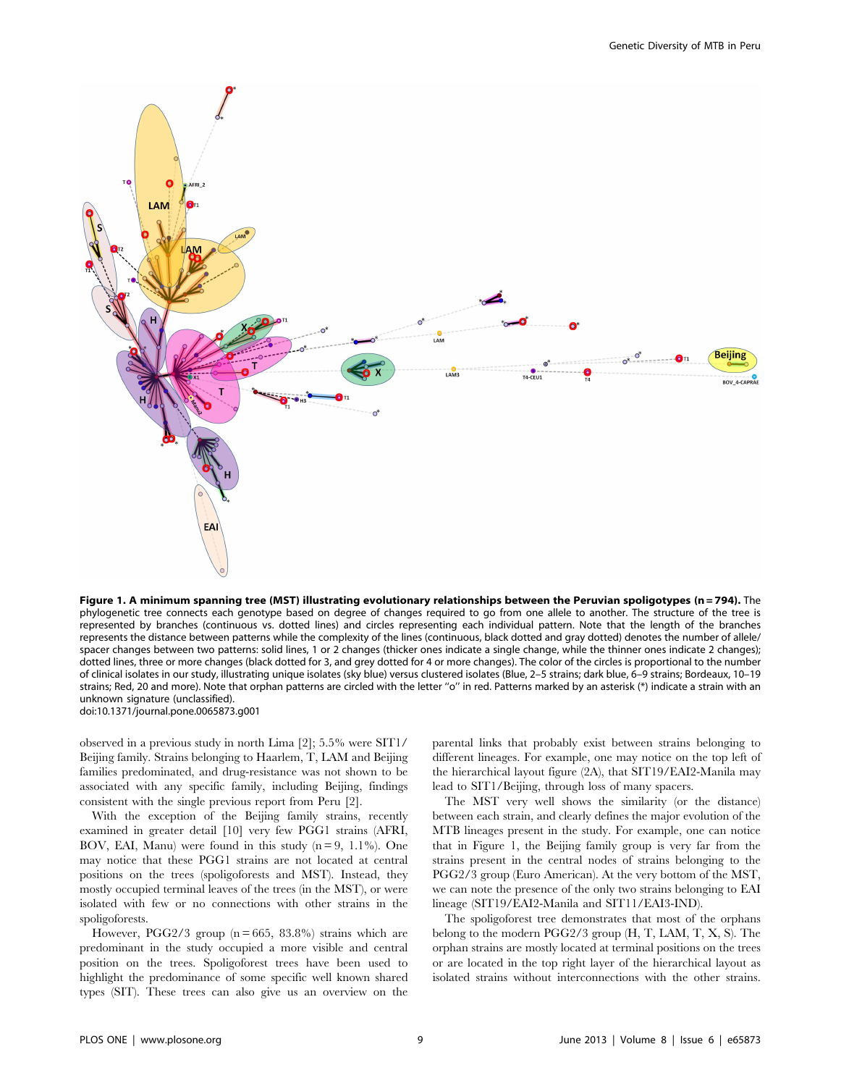

Figure 1. A minimum spanning tree (MST) illustrating evolutionary relationships between the Peruvian spoligotypes (n=794). The phylogenetic tree connects each genotype based on degree of changes required to go from one allele to another. The structure of the tree is represented by branches (continuous vs. dotted lines) and circles representing each individual pattern. Note that the length of the branches represents the distance between patterns while the complexity of the lines (continuous, black dotted and gray dotted) denotes the number of allele/ spacer changes between two patterns: solid lines, 1 or 2 changes (thicker ones indicate a single change, while the thinner ones indicate 2 changes); dotted lines, three or more changes (black dotted for 3, and grey dotted for 4 or more changes). The color of the circles is proportional to the number of clinical isolates in our study, illustrating unique isolates (sky blue) versus clustered isolates (Blue, 2–5 strains; dark blue, 6–9 strains; Bordeaux, 10–19 strains; Red, 20 and more). Note that orphan patterns are circled with the letter ''o'' in red. Patterns marked by an asterisk (\*) indicate a strain with an unknown signature (unclassified). doi:10.1371/journal.pone.0065873.g001

observed in a previous study in north Lima [2]; 5.5% were SIT1/ Beijing family. Strains belonging to Haarlem, T, LAM and Beijing families predominated, and drug-resistance was not shown to be associated with any specific family, including Beijing, findings consistent with the single previous report from Peru [2].

With the exception of the Beijing family strains, recently examined in greater detail [10] very few PGG1 strains (AFRI, BOV, EAI, Manu) were found in this study  $(n=9, 1.1\%)$ . One may notice that these PGG1 strains are not located at central positions on the trees (spoligoforests and MST). Instead, they mostly occupied terminal leaves of the trees (in the MST), or were isolated with few or no connections with other strains in the spoligoforests.

However, PGG2/3 group  $(n = 665, 83.8\%)$  strains which are predominant in the study occupied a more visible and central position on the trees. Spoligoforest trees have been used to highlight the predominance of some specific well known shared types (SIT). These trees can also give us an overview on the

parental links that probably exist between strains belonging to different lineages. For example, one may notice on the top left of the hierarchical layout figure (2A), that SIT19/EAI2-Manila may lead to SIT1/Beijing, through loss of many spacers.

The MST very well shows the similarity (or the distance) between each strain, and clearly defines the major evolution of the MTB lineages present in the study. For example, one can notice that in Figure 1, the Beijing family group is very far from the strains present in the central nodes of strains belonging to the PGG2/3 group (Euro American). At the very bottom of the MST, we can note the presence of the only two strains belonging to EAI lineage (SIT19/EAI2-Manila and SIT11/EAI3-IND).

The spoligoforest tree demonstrates that most of the orphans belong to the modern PGG2/3 group (H, T, LAM, T, X, S). The orphan strains are mostly located at terminal positions on the trees or are located in the top right layer of the hierarchical layout as isolated strains without interconnections with the other strains.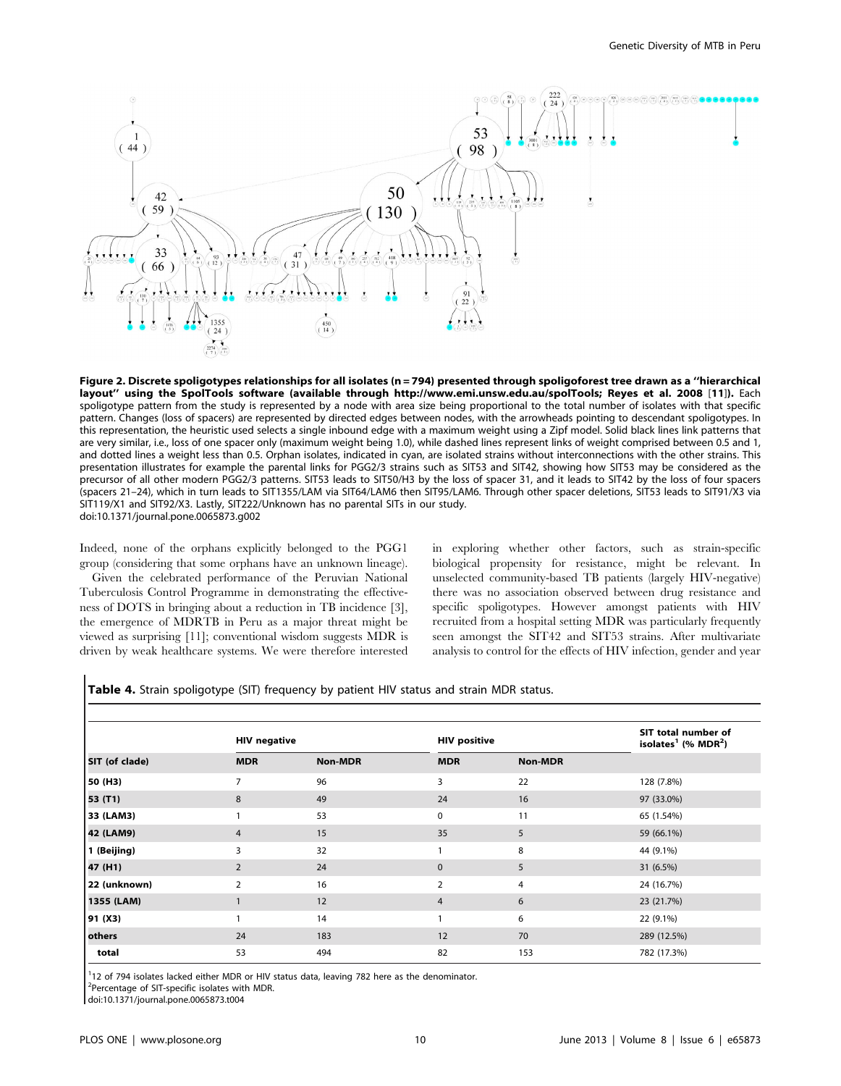

Figure 2. Discrete spoligotypes relationships for all isolates (n = 794) presented through spoligoforest tree drawn as a "hierarchical layout'' using the SpolTools software (available through http://www.emi.unsw.edu.au/spolTools; Reyes et al. 2008 [11]). Each spoligotype pattern from the study is represented by a node with area size being proportional to the total number of isolates with that specific pattern. Changes (loss of spacers) are represented by directed edges between nodes, with the arrowheads pointing to descendant spoligotypes. In this representation, the heuristic used selects a single inbound edge with a maximum weight using a Zipf model. Solid black lines link patterns that are very similar, i.e., loss of one spacer only (maximum weight being 1.0), while dashed lines represent links of weight comprised between 0.5 and 1, and dotted lines a weight less than 0.5. Orphan isolates, indicated in cyan, are isolated strains without interconnections with the other strains. This presentation illustrates for example the parental links for PGG2/3 strains such as SIT53 and SIT42, showing how SIT53 may be considered as the precursor of all other modern PGG2/3 patterns. SIT53 leads to SIT50/H3 by the loss of spacer 31, and it leads to SIT42 by the loss of four spacers (spacers 21–24), which in turn leads to SIT1355/LAM via SIT64/LAM6 then SIT95/LAM6. Through other spacer deletions, SIT53 leads to SIT91/X3 via SIT119/X1 and SIT92/X3. Lastly, SIT222/Unknown has no parental SITs in our study. doi:10.1371/journal.pone.0065873.g002

Indeed, none of the orphans explicitly belonged to the PGG1 group (considering that some orphans have an unknown lineage).

Given the celebrated performance of the Peruvian National Tuberculosis Control Programme in demonstrating the effectiveness of DOTS in bringing about a reduction in TB incidence [3], the emergence of MDRTB in Peru as a major threat might be viewed as surprising [11]; conventional wisdom suggests MDR is driven by weak healthcare systems. We were therefore interested in exploring whether other factors, such as strain-specific biological propensity for resistance, might be relevant. In unselected community-based TB patients (largely HIV-negative) there was no association observed between drug resistance and specific spoligotypes. However amongst patients with HIV recruited from a hospital setting MDR was particularly frequently seen amongst the SIT42 and SIT53 strains. After multivariate analysis to control for the effects of HIV infection, gender and year

|                | <b>HIV negative</b> |                | <b>HIV positive</b> |                | SIT total number of<br>isolates <sup>1</sup> (% MDR <sup>2</sup> ) |
|----------------|---------------------|----------------|---------------------|----------------|--------------------------------------------------------------------|
| SIT (of clade) | <b>MDR</b>          | <b>Non-MDR</b> | <b>MDR</b>          | <b>Non-MDR</b> |                                                                    |
| 50 (H3)        | 7                   | 96             | 3                   | 22             | 128 (7.8%)                                                         |
| 53 (T1)        | 8                   | 49             | 24                  | 16             | 97 (33.0%)                                                         |
| 33 (LAM3)      |                     | 53             | 0                   | 11             | 65 (1.54%)                                                         |
| 42 (LAM9)      | $\overline{4}$      | 15             | 35                  | 5              | 59 (66.1%)                                                         |
| 1 (Beijing)    | 3                   | 32             | 1                   | 8              | 44 (9.1%)                                                          |
| 47 (H1)        | 2                   | 24             | $\mathbf 0$         | 5              | 31 (6.5%)                                                          |
| 22 (unknown)   | $\overline{2}$      | 16             | $\overline{2}$      | 4              | 24 (16.7%)                                                         |
| 1355 (LAM)     |                     | 12             | 4                   | 6              | 23 (21.7%)                                                         |
| 91 (X3)        |                     | 14             | 1                   | 6              | 22 (9.1%)                                                          |
| others         | 24                  | 183            | 12                  | 70             | 289 (12.5%)                                                        |
| total          | 53                  | 494            | 82                  | 153            | 782 (17.3%)                                                        |

<sup>1</sup>12 of 794 isolates lacked either MDR or HIV status data, leaving 782 here as the denominator.

<sup>2</sup>Percentage of SIT-specific isolates with MDR.

doi:10.1371/journal.pone.0065873.t004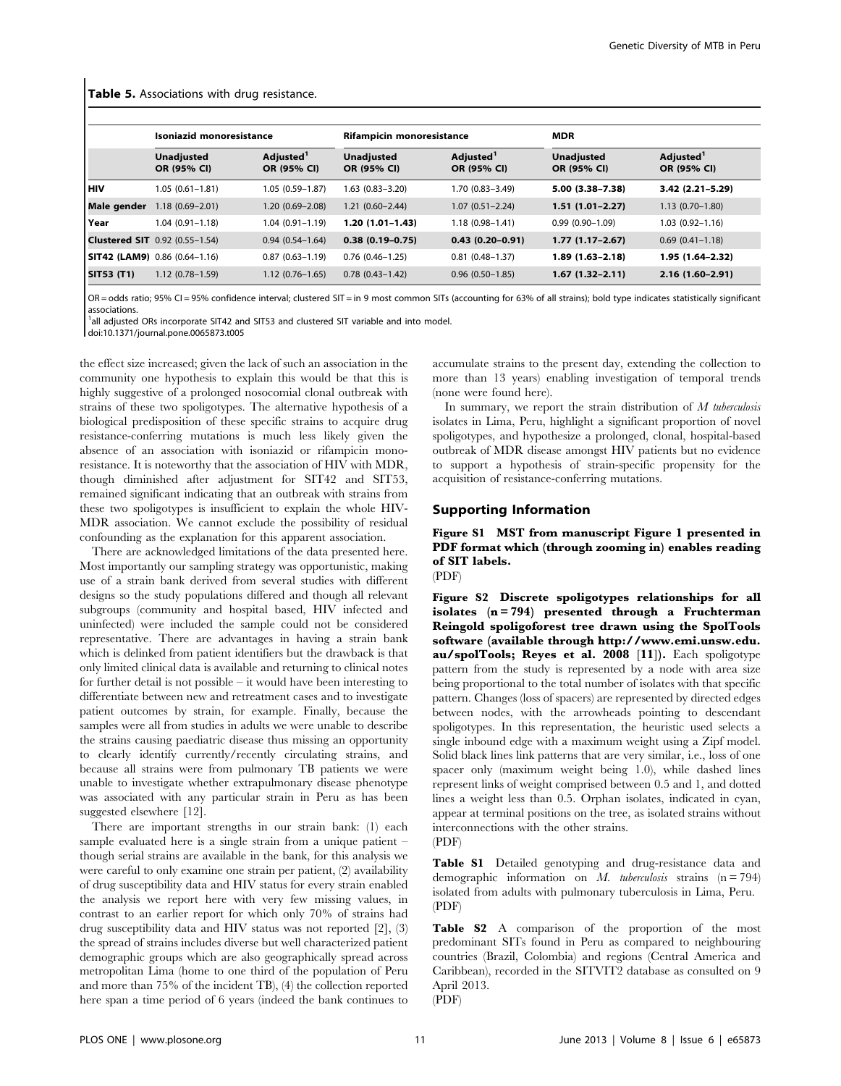#### Table 5. Associations with drug resistance.

|                    | Isoniazid monoresistance              |                                      | Rifampicin monoresistance        |                                      | <b>MDR</b>                       |                                      |
|--------------------|---------------------------------------|--------------------------------------|----------------------------------|--------------------------------------|----------------------------------|--------------------------------------|
|                    | <b>Unadjusted</b><br>OR (95% CI)      | Adjusted <sup>1</sup><br>OR (95% CI) | <b>Unadjusted</b><br>OR (95% CI) | Adjusted <sup>1</sup><br>OR (95% CI) | <b>Unadjusted</b><br>OR (95% CI) | Adjusted <sup>1</sup><br>OR (95% CI) |
| l HIV              | $1.05(0.61 - 1.81)$                   | $1.05(0.59 - 1.87)$                  | $1.63(0.83 - 3.20)$              | 1.70 (0.83-3.49)                     | $5.00(3.38 - 7.38)$              | 3.42 (2.21-5.29)                     |
| <b>Male gender</b> | $1.18(0.69 - 2.01)$                   | 1.20 (0.69-2.08)                     | $1.21(0.60 - 2.44)$              | $1.07(0.51 - 2.24)$                  | $1.51(1.01-2.27)$                | $1.13(0.70-1.80)$                    |
| l Year             | $1.04(0.91 - 1.18)$                   | $1.04(0.91 - 1.19)$                  | $1.20(1.01 - 1.43)$              | $1.18(0.98 - 1.41)$                  | $0.99(0.90 - 1.09)$              | $1.03(0.92 - 1.16)$                  |
|                    | <b>Clustered SIT</b> 0.92 (0.55-1.54) | $0.94(0.54 - 1.64)$                  | $0.38(0.19-0.75)$                | $0.43(0.20 - 0.91)$                  | $1.77(1.17-2.67)$                | $0.69(0.41 - 1.18)$                  |
|                    | $\vert$ SIT42 (LAM9) 0.86 (0.64-1.16) | $0.87(0.63 - 1.19)$                  | $0.76(0.46 - 1.25)$              | $0.81(0.48-1.37)$                    | $1.89(1.63 - 2.18)$              | 1.95 (1.64-2.32)                     |
| <b>SIT53 (T1)</b>  | $1.12(0.78 - 1.59)$                   | $1.12(0.76 - 1.65)$                  | $0.78(0.43 - 1.42)$              | $0.96$ $(0.50-1.85)$                 | $1.67(1.32 - 2.11)$              | $2.16(1.60-2.91)$                    |

OR = odds ratio; 95% CI = 95% confidence interval; clustered SIT = in 9 most common SITs (accounting for 63% of all strains); bold type indicates statistically significant associations.

<sup>1</sup>all adjusted ORs incorporate SIT42 and SIT53 and clustered SIT variable and into model.

doi:10.1371/journal.pone.0065873.t005

the effect size increased; given the lack of such an association in the community one hypothesis to explain this would be that this is highly suggestive of a prolonged nosocomial clonal outbreak with strains of these two spoligotypes. The alternative hypothesis of a biological predisposition of these specific strains to acquire drug resistance-conferring mutations is much less likely given the absence of an association with isoniazid or rifampicin monoresistance. It is noteworthy that the association of HIV with MDR, though diminished after adjustment for SIT42 and SIT53, remained significant indicating that an outbreak with strains from these two spoligotypes is insufficient to explain the whole HIV-MDR association. We cannot exclude the possibility of residual confounding as the explanation for this apparent association.

There are acknowledged limitations of the data presented here. Most importantly our sampling strategy was opportunistic, making use of a strain bank derived from several studies with different designs so the study populations differed and though all relevant subgroups (community and hospital based, HIV infected and uninfected) were included the sample could not be considered representative. There are advantages in having a strain bank which is delinked from patient identifiers but the drawback is that only limited clinical data is available and returning to clinical notes for further detail is not possible – it would have been interesting to differentiate between new and retreatment cases and to investigate patient outcomes by strain, for example. Finally, because the samples were all from studies in adults we were unable to describe the strains causing paediatric disease thus missing an opportunity to clearly identify currently/recently circulating strains, and because all strains were from pulmonary TB patients we were unable to investigate whether extrapulmonary disease phenotype was associated with any particular strain in Peru as has been suggested elsewhere [12].

There are important strengths in our strain bank: (1) each sample evaluated here is a single strain from a unique patient – though serial strains are available in the bank, for this analysis we were careful to only examine one strain per patient, (2) availability of drug susceptibility data and HIV status for every strain enabled the analysis we report here with very few missing values, in contrast to an earlier report for which only 70% of strains had drug susceptibility data and HIV status was not reported [2], (3) the spread of strains includes diverse but well characterized patient demographic groups which are also geographically spread across metropolitan Lima (home to one third of the population of Peru and more than 75% of the incident TB), (4) the collection reported here span a time period of 6 years (indeed the bank continues to accumulate strains to the present day, extending the collection to more than 13 years) enabling investigation of temporal trends (none were found here).

In summary, we report the strain distribution of  $M$  tuberculosis isolates in Lima, Peru, highlight a significant proportion of novel spoligotypes, and hypothesize a prolonged, clonal, hospital-based outbreak of MDR disease amongst HIV patients but no evidence to support a hypothesis of strain-specific propensity for the acquisition of resistance-conferring mutations.

#### Supporting Information

Figure S1 MST from manuscript Figure 1 presented in PDF format which (through zooming in) enables reading of SIT labels.

(PDF)

Figure S2 Discrete spoligotypes relationships for all isolates  $(n = 794)$  presented through a Fruchterman Reingold spoligoforest tree drawn using the SpolTools software (available through http://www.emi.unsw.edu. au/spolTools; Reyes et al. 2008 [11]). Each spoligotype pattern from the study is represented by a node with area size being proportional to the total number of isolates with that specific pattern. Changes (loss of spacers) are represented by directed edges between nodes, with the arrowheads pointing to descendant spoligotypes. In this representation, the heuristic used selects a single inbound edge with a maximum weight using a Zipf model. Solid black lines link patterns that are very similar, i.e., loss of one spacer only (maximum weight being 1.0), while dashed lines represent links of weight comprised between 0.5 and 1, and dotted lines a weight less than 0.5. Orphan isolates, indicated in cyan, appear at terminal positions on the tree, as isolated strains without interconnections with the other strains. (PDF)

Table S1 Detailed genotyping and drug-resistance data and demographic information on M. tuberculosis strains  $(n = 794)$ isolated from adults with pulmonary tuberculosis in Lima, Peru. (PDF)

Table S2 A comparison of the proportion of the most predominant SITs found in Peru as compared to neighbouring countries (Brazil, Colombia) and regions (Central America and Caribbean), recorded in the SITVIT2 database as consulted on 9 April 2013.

(PDF)